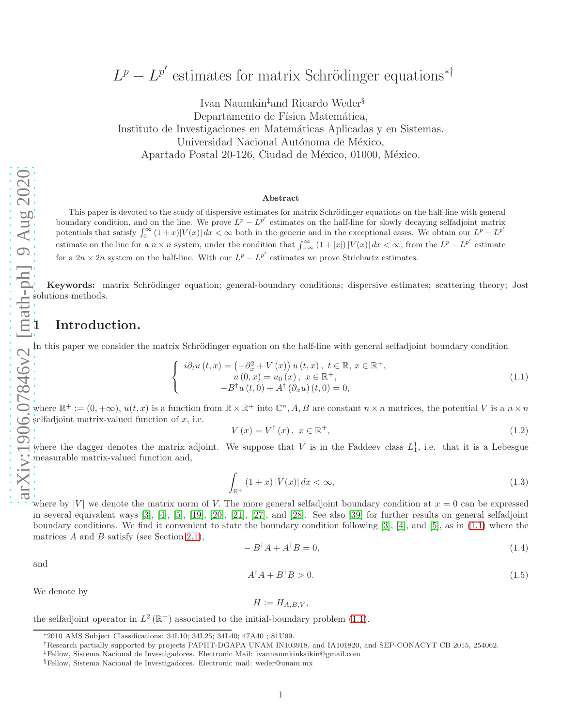# $L^p - L^{p'}$  estimates for matrix Schrödinger equations<sup>\*†</sup>

Ivan Naumkin‡and Ricardo Weder§ Departamento de Física Matemática, Instituto de Investigaciones en Matem´aticas Aplicadas y en Sistemas. Universidad Nacional Autónoma de México, Apartado Postal 20-126, Ciudad de México, 01000, México.

#### Abstract

This paper is devoted to the study of dispersive estimates for matrix Schrödinger equations on the half-line with general boundary condition, and on the line. We prove  $L^p - L^{p'}$  estimates on the half-line for slowly decaying selfadjoint matrix potentials that satisfy  $\int_0^\infty (1+x)|V(x)| dx < \infty$  both in the generic and in the exceptional cases. We obtain our  $L^p - L^{p'}$ estimate on the line for a  $n \times n$  system, under the condition that  $\int_{-\infty}^{\infty} (1+|x|) |V(x)| dx < \infty$ , from the  $L^p - L^{p'}$  estimate for a  $2n \times 2n$  system on the half-line. With our  $L^p - L^{p'}$  estimates we prove Strichartz estimates.

Keywords: matrix Schrödinger equation; general-boundary conditions; dispersive estimates; scattering theory; Jost solutions methods.

### 1 Introduction.

In this paper we consider the matrix Schrödinger equation on the half-line with general selfadjoint boundary condition

$$
i\partial_t u(t, x) = \left(-\partial_x^2 + V(x)\right)u(t, x), \ t \in \mathbb{R}, \ x \in \mathbb{R}^+, u(0, x) = u_0(x), \ x \in \mathbb{R}^+, -B^{\dagger}u(t, 0) + A^{\dagger}(\partial_x u)(t, 0) = 0,
$$
\n(1.1)

where R  $\mathcal{F}^+ := (0, +\infty), u(t, x)$  is a function from  $\mathbb{R} \times \mathbb{R}^+$  into  $\mathbb{C}^n$ , A, B are constant  $n \times n$  matrices, the potential V is a  $n \times n$ selfadjoint matrix-valued function of  $x$ , i.e.

<span id="page-0-1"></span>
$$
V(x) = V^{\dagger}(x), \ x \in \mathbb{R}^{+}, \tag{1.2}
$$

where the dagger denotes the matrix adjoint. We suppose that V is in the Faddeev class  $L_1^1$ , i.e. that it is a Lebesgue measurable matrix-valued function and,

<span id="page-0-2"></span>
$$
\int_{\mathbb{R}^+} (1+x) \left| V(x) \right| dx < \infty,\tag{1.3}
$$

where by |V| we denote the matrix norm of V. The more general selfadjoint boundary condition at  $x = 0$  can be expressed in several equivalent ways [3], [4], [5], [\[19\]](#page-18-0), [\[20\]](#page-18-1), [\[21\]](#page-18-2), [\[27\]](#page-18-3), and [\[28\]](#page-18-4). See also [\[39\]](#page-19-0) for further results on general selfadjoint boundary conditions. We find it convenient to state the boundary condition following [3], [4], and [5], as in [\(1.1\)](#page-0-0) where the matrices A and B satisfy (see Section [2.1\)](#page-4-0),

<span id="page-0-3"></span>
$$
-B^{\dagger}A + A^{\dagger}B = 0,\tag{1.4}
$$

and

<span id="page-0-4"></span>
$$
A^{\dagger}A + B^{\dagger}B > 0. \tag{1.5}
$$

We denote by

$$
H := H_{A,B,V},
$$

the selfadjoint operator in  $L^2(\mathbb{R}^+)$  associated to the initial-boundary problem [\(1.1\)](#page-0-0).

<span id="page-0-0"></span> $\sqrt{ }$  $\frac{1}{2}$  $\mathbf{I}$ 

<sup>∗</sup>2010 AMS Subject Classifications: 34L10; 34L25; 34L40; 47A40 ; 81U99.

<sup>†</sup>Research partially supported by projects PAPIIT-DGAPA UNAM IN103918, and IA101820, and SEP-CONACYT CB 2015, 254062.

<sup>‡</sup>Fellow, Sistema Nacional de Investigadores. Electronic Mail: ivannaumkinkaikin@gmail.com

<sup>§</sup>Fellow, Sistema Nacional de Investigadores. Electronic mail: weder@unam.mx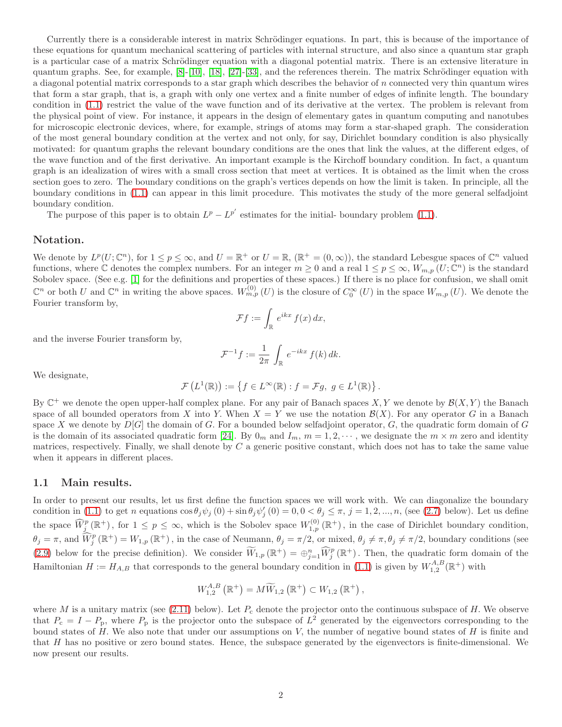Currently there is a considerable interest in matrix Schrödinger equations. In part, this is because of the importance of these equations for quantum mechanical scattering of particles with internal structure, and also since a quantum star graph is a particular case of a matrix Schrödinger equation with a diagonal potential matrix. There is an extensive literature in quantum graphs. See, for example,  $[8]-[10]$  $[8]-[10]$ ,  $[18]$ ,  $[27]-[33]$  $[27]-[33]$ , and the references therein. The matrix Schrödinger equation with a diagonal potential matrix corresponds to a star graph which describes the behavior of n connected very thin quantum wires that form a star graph, that is, a graph with only one vertex and a finite number of edges of infinite length. The boundary condition in [\(1.1\)](#page-0-0) restrict the value of the wave function and of its derivative at the vertex. The problem is relevant from the physical point of view. For instance, it appears in the design of elementary gates in quantum computing and nanotubes for microscopic electronic devices, where, for example, strings of atoms may form a star-shaped graph. The consideration of the most general boundary condition at the vertex and not only, for say, Dirichlet boundary condition is also physically motivated: for quantum graphs the relevant boundary conditions are the ones that link the values, at the different edges, of the wave function and of the first derivative. An important example is the Kirchoff boundary condition. In fact, a quantum graph is an idealization of wires with a small cross section that meet at vertices. It is obtained as the limit when the cross section goes to zero. The boundary conditions on the graph's vertices depends on how the limit is taken. In principle, all the boundary conditions in [\(1.1\)](#page-0-0) can appear in this limit procedure. This motivates the study of the more general selfadjoint boundary condition.

The purpose of this paper is to obtain  $L^p - L^{p'}$  estimates for the initial-boundary problem [\(1.1\)](#page-0-0).

### Notation.

We denote by  $L^p(U; \mathbb{C}^n)$ , for  $1 \leq p \leq \infty$ , and  $U = \mathbb{R}^+$  or  $U = \mathbb{R}$ ,  $(\mathbb{R}^+ = (0, \infty))$ , the standard Lebesgue spaces of  $\mathbb{C}^n$  valued functions, where  $\mathbb C$  denotes the complex numbers. For an integer  $m \geq 0$  and a real  $1 \leq p \leq \infty$ ,  $W_{m,p}(U; \mathbb C^n)$  is the standard Sobolev space. (See e.g. [\[1\]](#page-17-0) for the definitions and properties of these spaces.) If there is no place for confusion, we shall omit  $\mathbb{C}^n$  or both U and  $\mathbb{C}^n$  in writing the above spaces.  $W_{m,p}^{(0)}(U)$  is the closure of  $C_0^{\infty}(U)$  in the space  $W_{m,p}(U)$ . We denote the Fourier transform by,

$$
\mathcal{F}f := \int_{\mathbb{R}} e^{ikx} f(x) dx,
$$

and the inverse Fourier transform by,

$$
\mathcal{F}^{-1}f := \frac{1}{2\pi} \int_{\mathbb{R}} e^{-ikx} f(k) \, dk.
$$

We designate,

$$
\mathcal{F}\left(L^1(\mathbb{R})\right) := \left\{ f \in L^\infty(\mathbb{R}) : f = \mathcal{F}g, \ g \in L^1(\mathbb{R}) \right\}.
$$

By  $\mathbb{C}^+$  we denote the open upper-half complex plane. For any pair of Banach spaces  $X, Y$  we denote by  $\mathcal{B}(X, Y)$  the Banach space of all bounded operators from X into Y. When  $X = Y$  we use the notation  $\mathcal{B}(X)$ . For any operator G in a Banach space X we denote by  $D[G]$  the domain of G. For a bounded below selfadjoint operator,  $G$ , the quadratic form domain of  $G$ is the domain of its associated quadratic form [\[24\]](#page-18-8). By  $0_m$  and  $I_m$ ,  $m = 1, 2, \cdots$ , we designate the  $m \times m$  zero and identity matrices, respectively. Finally, we shall denote by  $C$  a generic positive constant, which does not has to take the same value when it appears in different places.

### 1.1 Main results.

In order to present our results, let us first define the function spaces we will work with. We can diagonalize the boundary condition in [\(1.1\)](#page-0-0) to get n equations  $\cos \theta_j \psi_j(0) + \sin \theta_j \psi'_j(0) = 0, 0 < \theta_j \le \pi, j = 1, 2, ..., n$ , (see [\(2.7\)](#page-4-1) below). Let us define the space  $\widehat{W}_{j}^{p}(\mathbb{R}^{+})$ , for  $1 \leq p \leq \infty$ , which is the Sobolev space  $W_{1,p}^{(0)}(\mathbb{R}^{+})$ , in the case of Dirichlet boundary condition,  $\theta_j = \pi$ , and  $\widehat{W}_j^p(\mathbb{R}^+) = W_{1,p}(\mathbb{R}^+)$ , in the case of Neumann,  $\theta_j = \pi/2$ , or mixed,  $\theta_j \neq \pi, \theta_j \neq \pi/2$ , boundary conditions (see [\(2.9\)](#page-5-0) below for the precise definition). We consider  $\widetilde{W}_{1,p}(\mathbb{R}^+) = \bigoplus_{j=1}^n \widehat{W}_j^p(\mathbb{R}^+)$ . Then, the quadratic form domain of the Hamiltonian  $H := H_{A,B}$  that corresponds to the general boundary condition in [\(1.1\)](#page-0-0) is given by  $W_{1,2}^{A,B}(\mathbb{R}^+)$  with

$$
W_{1,2}^{A,B}\left(\mathbb{R}^+\right)=M\widetilde{W}_{1,2}\left(\mathbb{R}^+\right)\subset W_{1,2}\left(\mathbb{R}^+\right),
$$

where M is a unitary matrix (see [\(2.11\)](#page-5-1) below). Let  $P_c$  denote the projector onto the continuous subspace of H. We observe that  $P_c = I - P_p$ , where  $P_p$  is the projector onto the subspace of  $L^2$  generated by the eigenvectors corresponding to the bound states of  $H$ . We also note that under our assumptions on  $V$ , the number of negative bound states of  $H$  is finite and that H has no positive or zero bound states. Hence, the subspace generated by the eigenvectors is finite-dimensional. We now present our results.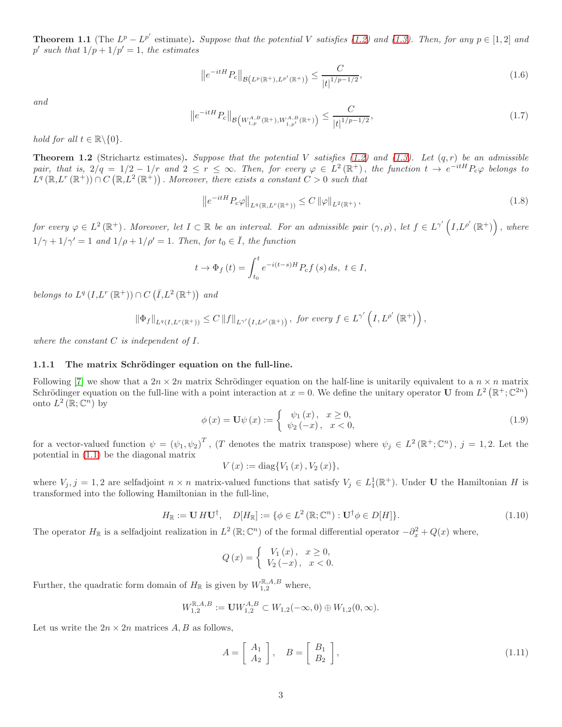<span id="page-2-1"></span>**Theorem 1.1** (The  $L^p - L^{p'}$  estimate). Suppose that the potential V satisfies [\(1.2\)](#page-0-1) and [\(1.3\)](#page-0-2). Then, for any  $p \in [1,2]$  and  $p'$  such that  $1/p + 1/p' = 1$ , the estimates

<span id="page-2-2"></span>
$$
\left\|e^{-itH}P_c\right\|_{\mathcal{B}\left(L^p(\mathbb{R}^+),L^{p'}(\mathbb{R}^+)\right)} \leq \frac{C}{|t|^{1/p-1/2}},\tag{1.6}
$$

and

<span id="page-2-3"></span>
$$
\left\|e^{-itH}P_c\right\|_{\mathcal{B}\left(W^{A,B}_{1,p}(\mathbb{R}^+),W^{A,B}_{1,p'}(\mathbb{R}^+)\right)} \leq \frac{C}{|t|^{1/p-1/2}},\tag{1.7}
$$

hold for all  $t \in \mathbb{R} \backslash \{0\}.$ 

<span id="page-2-0"></span>**Theorem 1.2** (Strichartz estimates). Suppose that the potential V satisfies [\(1.2\)](#page-0-1) and [\(1.3\)](#page-0-2). Let  $(q, r)$  be an admissible pair, that is,  $2/q = 1/2 - 1/r$  and  $2 \le r \le \infty$ . Then, for every  $\varphi \in L^2(\mathbb{R}^+)$ , the function  $t \to e^{-itH}P_c\varphi$  belongs to  $L^q(\mathbb{R}, L^r(\mathbb{R}^+)) \cap C(\mathbb{R}, L^2(\mathbb{R}^+))$ . Moreover, there exists a constant  $C > 0$  such that

$$
\left\|e^{-itH}P_{\mathcal{C}}\varphi\right\|_{L^{q}(\mathbb{R},L^{r}(\mathbb{R}^{+}))} \leq C\left\|\varphi\right\|_{L^{2}(\mathbb{R}^{+})},\tag{1.8}
$$

for every  $\varphi \in L^2(\mathbb{R}^+)$ . Moreover, let  $I \subset \mathbb{R}$  be an interval. For an admissible pair  $(\gamma, \rho)$ , let  $f \in L^{\gamma'}(I, L^{\rho'}(\mathbb{R}^+))$ , where  $1/\gamma + 1/\gamma' = 1$  and  $1/\rho + 1/\rho' = 1$ . Then, for  $t_0 \in \overline{I}$ , the function

$$
t \to \Phi_f(t) = \int_{t_0}^t e^{-i(t-s)H} P_{\rm c} f(s) \, ds, \ t \in I,
$$

belongs to  $L^q(I, L^r(\mathbb{R}^+)) \cap C(\overline{I}, L^2(\mathbb{R}^+))$  and

$$
\left\|\Phi_f\right\|_{L^q(I,L^r(\mathbb{R}^+))} \leq C \left\|f\right\|_{L^{\gamma'}\left(I,L^{\rho'}(\mathbb{R}^+)\right)}, \text{ for every } f \in L^{\gamma'}\left(I,L^{\rho'}\left(\mathbb{R}^+\right)\right),
$$

where the constant  $C$  is independent of  $I$ .

#### 1.1.1 The matrix Schrödinger equation on the full-line.

Following [\[7\]](#page-18-9) we show that a  $2n \times 2n$  matrix Schrödinger equation on the half-line is unitarily equivalent to a  $n \times n$  matrix Schrödinger equation on the full-line with a point interaction at  $x = 0$ . We define the unitary operator **U** from  $L^2(\mathbb{R}^+;\mathbb{C}^{2n})$ onto  $L^2(\mathbb{R}; \mathbb{C}^n)$  by

$$
\phi(x) = \mathbf{U}\psi(x) := \begin{cases} \psi_1(x), & x \ge 0, \\ \psi_2(-x), & x < 0, \end{cases}
$$
\n(1.9)

for a vector-valued function  $\psi = (\psi_1, \psi_2)^T$ , (T denotes the matrix transpose) where  $\psi_j \in L^2(\mathbb{R}^+; \mathbb{C}^n)$ ,  $j = 1, 2$ . Let the potential in [\(1.1\)](#page-0-0) be the diagonal matrix

 $V(x) := \text{diag}\{V_1(x), V_2(x)\},\,$ 

where  $V_j$ , j = 1, 2 are selfadjoint  $n \times n$  matrix-valued functions that satisfy  $V_j \in L_1^1(\mathbb{R}^+)$ . Under U the Hamiltonian H is transformed into the following Hamiltonian in the full-line,

$$
H_{\mathbb{R}} := \mathbf{U} H \mathbf{U}^{\dagger}, \quad D[H_{\mathbb{R}}] := \{ \phi \in L^{2}(\mathbb{R}; \mathbb{C}^{n}) : \mathbf{U}^{\dagger} \phi \in D[H] \}.
$$
 (1.10)

The operator  $H_{\mathbb{R}}$  is a selfadjoint realization in  $L^2(\mathbb{R}; \mathbb{C}^n)$  of the formal differential operator  $-\partial_x^2 + Q(x)$  where,

$$
Q(x) = \begin{cases} V_1(x), & x \ge 0, \\ V_2(-x), & x < 0. \end{cases}
$$

Further, the quadratic form domain of  $H_{\mathbb{R}}$  is given by  $W_{1,2}^{\mathbb{R},A,B}$  where,

$$
W_{1,2}^{\mathbb{R},A,B} := \mathbf{U} W_{1,2}^{A,B} \subset W_{1,2}(-\infty,0) \oplus W_{1,2}(0,\infty).
$$

Let us write the  $2n \times 2n$  matrices A, B as follows,

$$
A = \left[ \begin{array}{c} A_1 \\ A_2 \end{array} \right], \quad B = \left[ \begin{array}{c} B_1 \\ B_2 \end{array} \right], \tag{1.11}
$$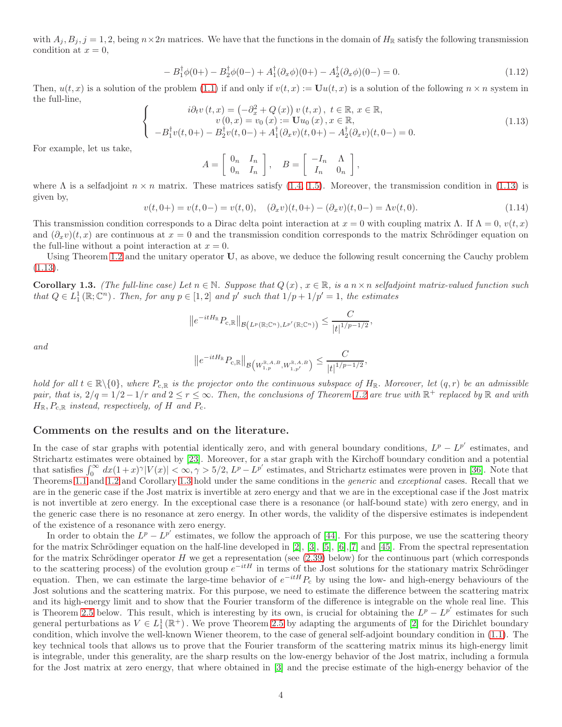with  $A_j, B_j, j = 1, 2$ , being  $n \times 2n$  matrices. We have that the functions in the domain of  $H_{\mathbb{R}}$  satisfy the following transmission condition at  $x = 0$ ,

$$
-B_1^{\dagger} \phi(0+) - B_2^{\dagger} \phi(0-) + A_1^{\dagger} (\partial_x \phi)(0+) - A_2^{\dagger} (\partial_x \phi)(0-) = 0.
$$
 (1.12)

Then,  $u(t, x)$  is a solution of the problem [\(1.1\)](#page-0-0) if and only if  $v(t, x) := \mathbf{U}u(t, x)$  is a solution of the following  $n \times n$  system in the full-line,  $\sqrt{ }$ 

$$
i\partial_t v(t, x) = \left(-\partial_x^2 + Q(x)\right)v(t, x), t \in \mathbb{R}, x \in \mathbb{R},
$$
  
\n
$$
v(0, x) = v_0(x) := \mathbf{U}u_0(x), x \in \mathbb{R},
$$
  
\n
$$
-B_1^{\dagger}v(t, 0+) - B_2^{\dagger}v(t, 0-) + A_1^{\dagger}(\partial_x v)(t, 0+) - A_2^{\dagger}(\partial_x v)(t, 0-) = 0.
$$
\n(1.13)

For example, let us take,

<span id="page-3-0"></span> $\frac{1}{2}$  $\mathbf{I}$ 

$$
A = \left[ \begin{array}{cc} 0_n & I_n \\ 0_n & I_n \end{array} \right], \quad B = \left[ \begin{array}{cc} -I_n & \Lambda \\ I_n & 0_n \end{array} \right],
$$

where  $\Lambda$  is a selfadjoint  $n \times n$  matrix. These matrices satisfy [\(1.4,](#page-0-3) [1.5\)](#page-0-4). Moreover, the transmission condition in [\(1.13\)](#page-3-0) is given by,

$$
v(t,0+) = v(t,0-) = v(t,0), \quad (\partial_x v)(t,0+) - (\partial_x v)(t,0-) = \Lambda v(t,0). \tag{1.14}
$$

This transmission condition corresponds to a Dirac delta point interaction at  $x = 0$  with coupling matrix  $\Lambda$ . If  $\Lambda = 0$ ,  $v(t, x)$ and  $(\partial_x v)(t, x)$  are continuous at  $x = 0$  and the transmission condition corresponds to the matrix Schrödinger equation on the full-line without a point interaction at  $x = 0$ .

Using Theorem [1.2](#page-2-0) and the unitary operator U, as above, we deduce the following result concerning the Cauchy problem [\(1.13\)](#page-3-0).

<span id="page-3-1"></span>**Corollary 1.3.** (The full-line case) Let  $n \in \mathbb{N}$ . Suppose that  $Q(x)$ ,  $x \in \mathbb{R}$ , is a  $n \times n$  selfadjoint matrix-valued function such that  $Q \in L_1^1(\mathbb{R}; \mathbb{C}^n)$ . Then, for any  $p \in [1, 2]$  and  $p'$  such that  $1/p + 1/p' = 1$ , the estimates

$$
||e^{-itH_{\mathbb{R}}}P_{c,\mathbb{R}}||_{\mathcal{B}(L^p(\mathbb{R};\mathbb{C}^n),L^{p'}(\mathbb{R};\mathbb{C}^n))}\leq \frac{C}{|t|^{1/p-1/2}},
$$

and

$$
||e^{-itH_{\mathbb{R}}}P_{c,\mathbb{R}}||_{\mathcal{B}\left(W_{1,p}^{\mathbb{R},A,B},W_{1,p'}^{\mathbb{R},A,B}\right)} \leq \frac{C}{|t|^{1/p-1/2}},
$$

hold for all  $t \in \mathbb{R} \setminus \{0\}$ , where  $P_{c,\mathbb{R}}$  is the projector onto the continuous subspace of  $H_{\mathbb{R}}$ . Moreover, let  $(q,r)$  be an admissible pair, that is,  $2/q = 1/2 - 1/r$  and  $2 \le r \le \infty$ . Then, the conclusions of Theorem [1.2](#page-2-0) are true with  $\mathbb{R}^+$  replaced by  $\mathbb R$  and with  $H_{\mathbb{R}}, P_{\mathbf{c},\mathbb{R}}$  instead, respectively, of H and  $P_{\mathbf{c}}$ .

### Comments on the results and on the literature.

In the case of star graphs with potential identically zero, and with general boundary conditions,  $L^p - L^{p'}$  estimates, and Strichartz estimates were obtained by [\[23\]](#page-18-10). Moreover, for a star graph with the Kirchoff boundary condition and a potential that satisfies  $\int_0^\infty dx (1+x)^\gamma |V(x)| < \infty, \gamma > 5/2, L^p - L^{p'}$  estimates, and Strichartz estimates were proven in [\[36\]](#page-19-2). Note that Theorems [1.1](#page-2-1) and [1.2](#page-2-0) and Corollary [1.3](#page-3-1) hold under the same conditions in the generic and exceptional cases. Recall that we are in the generic case if the Jost matrix is invertible at zero energy and that we are in the exceptional case if the Jost matrix is not invertible at zero energy. In the exceptional case there is a resonance (or half-bound state) with zero energy, and in the generic case there is no resonance at zero energy. In other words, the validity of the dispersive estimates is independent of the existence of a resonance with zero energy.

In order to obtain the  $L^p - L^{p'}$  estimates, we follow the approach of [\[44\]](#page-19-3). For this purpose, we use the scattering theory for the matrix Schrödinger equation on the half-line developed in  $[2]$ ,  $[3]$ ,  $[5]$ ,  $[6]$ ,  $[7]$  and  $[45]$ . From the spectral representation for the matrix Schrödinger operator  $H$  we get a representation (see  $(2.39)$  below) for the continuous part (which corresponds to the scattering process) of the evolution group  $e^{-itH}$  in terms of the Jost solutions for the stationary matrix Schrödinger equation. Then, we can estimate the large-time behavior of  $e^{-itH}P_c$  by using the low- and high-energy behaviours of the Jost solutions and the scattering matrix. For this purpose, we need to estimate the difference between the scattering matrix and its high-energy limit and to show that the Fourier transform of the difference is integrable on the whole real line. This is Theorem [2.5](#page-9-0) below. This result, which is interesting by its own, is crucial for obtaining the  $L^p - L^{p'}$  estimates for such general perturbations as  $V \in L_1^1(\mathbb{R}^+)$ . We prove Theorem [2.5](#page-9-0) by adapting the arguments of [\[2\]](#page-17-1) for the Dirichlet boundary condition, which involve the well-known Wiener theorem, to the case of general self-adjoint boundary condition in [\(1.1\)](#page-0-0). The key technical tools that allows us to prove that the Fourier transform of the scattering matrix minus its high-energy limit is integrable, under this generality, are the sharp results on the low-energy behavior of the Jost matrix, including a formula for the Jost matrix at zero energy, that where obtained in [3] and the precise estimate of the high-energy behavior of the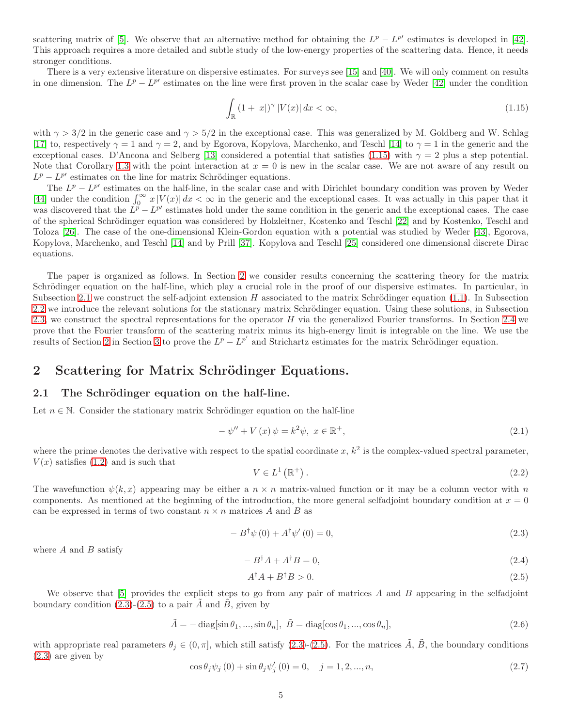scattering matrix of [5]. We observe that an alternative method for obtaining the  $L^p - L^{p'}$  estimates is developed in [\[42\]](#page-19-5). This approach requires a more detailed and subtle study of the low-energy properties of the scattering data. Hence, it needs stronger conditions.

There is a very extensive literature on dispersive estimates. For surveys see [\[15\]](#page-18-12) and [\[40\]](#page-19-6). We will only comment on results in one dimension. The  $L^p - L^{p'}$  estimates on the line were first proven in the scalar case by Weder [\[42\]](#page-19-5) under the condition

<span id="page-4-2"></span>
$$
\int_{\mathbb{R}} \left(1 + |x| \right)^{\gamma} |V(x)| \, dx < \infty,\tag{1.15}
$$

with  $\gamma > 3/2$  in the generic case and  $\gamma > 5/2$  in the exceptional case. This was generalized by M. Goldberg and W. Schlag [\[17\]](#page-18-13) to, respectively  $\gamma = 1$  and  $\gamma = 2$ , and by Egorova, Kopylova, Marchenko, and Teschl [\[14\]](#page-18-14) to  $\gamma = 1$  in the generic and the exceptional cases. D'Ancona and Selberg [\[13\]](#page-18-15) considered a potential that satisfies [\(1.15\)](#page-4-2) with  $\gamma = 2$  plus a step potential. Note that Corollary [1.3](#page-3-1) with the point interaction at  $x = 0$  is new in the scalar case. We are not aware of any result on  $L^p - L^{p'}$  estimates on the line for matrix Schrödinger equations.

The  $L^p - L^{p'}$  estimates on the half-line, in the scalar case and with Dirichlet boundary condition was proven by Weder [\[44\]](#page-19-3) under the condition  $\int_0^\infty x |V(x)| dx < \infty$  in the generic and the exceptional cases. It was actually in this paper that it was discovered that the  $L^p - L^{p'}$  estimates hold under the same condition in the generic and the exceptional cases. The case of the spherical Schrödinger equation was considered by Holzleitner, Kostenko and Teschl [\[22\]](#page-18-16) and by Kostenko, Teschl and Toloza [\[26\]](#page-18-17). The case of the one-dimensional Klein-Gordon equation with a potential was studied by Weder [\[43\]](#page-19-7), Egorova, Kopylova, Marchenko, and Teschl [\[14\]](#page-18-14) and by Prill [\[37\]](#page-19-8). Kopylova and Teschl [\[25\]](#page-18-18) considered one dimensional discrete Dirac equations.

The paper is organized as follows. In Section [2](#page-4-3) we consider results concerning the scattering theory for the matrix Schrödinger equation on the half-line, which play a crucial role in the proof of our dispersive estimates. In particular, in Subsection [2.1](#page-4-0) we construct the self-adjoint extension H associated to the matrix Schrödinger equation  $(1.1)$ . In Subsection [2.2](#page-6-0) we introduce the relevant solutions for the stationary matrix Schrödinger equation. Using these solutions, in Subsection [2.3,](#page-8-1) we construct the spectral representations for the operator  $H$  via the generalized Fourier transforms. In Section [2.4](#page-8-2) we prove that the Fourier transform of the scattering matrix minus its high-energy limit is integrable on the line. We use the results of Section [2](#page-4-3) in Section [3](#page-15-0) to prove the  $L^p - L^{p'}$  and Strichartz estimates for the matrix Schrödinger equation.

### <span id="page-4-3"></span>2 Scattering for Matrix Schrödinger Equations.

### <span id="page-4-0"></span>2.1 The Schrödinger equation on the half-line.

Let  $n \in \mathbb{N}$ . Consider the stationary matrix Schrödinger equation on the half-line

<span id="page-4-9"></span>
$$
-\psi'' + V(x)\psi = k^2\psi, \ x \in \mathbb{R}^+, \tag{2.1}
$$

where the prime denotes the derivative with respect to the spatial coordinate  $x, k^2$  is the complex-valued spectral parameter,  $V(x)$  satisfies [\(1.2\)](#page-0-1) and is such that

<span id="page-4-8"></span>
$$
V \in L^{1}(\mathbb{R}^{+}).
$$
\n
$$
(2.2)
$$

The wavefunction  $\psi(k, x)$  appearing may be either a  $n \times n$  matrix-valued function or it may be a column vector with n components. As mentioned at the beginning of the introduction, the more general selfadjoint boundary condition at  $x = 0$ can be expressed in terms of two constant  $n \times n$  matrices A and B as

<span id="page-4-4"></span>
$$
-B^{\dagger}\psi(0) + A^{\dagger}\psi'(0) = 0,
$$
\n
$$
(2.3)
$$

where  $A$  and  $B$  satisfy

<span id="page-4-6"></span>
$$
-B^{\dagger}A + A^{\dagger}B = 0,\tag{2.4}
$$

<span id="page-4-5"></span>
$$
A^{\dagger}A + B^{\dagger}B > 0. \tag{2.5}
$$

We observe that [5] provides the explicit steps to go from any pair of matrices A and B appearing in the selfadjoint boundary condition  $(2.3)-(2.5)$  $(2.3)-(2.5)$  to a pair  $\tilde{A}$  and  $\tilde{B}$ , given by

<span id="page-4-7"></span>
$$
\tilde{A} = -\operatorname{diag}[\sin \theta_1, ..., \sin \theta_n], \quad \tilde{B} = \operatorname{diag}[\cos \theta_1, ..., \cos \theta_n], \tag{2.6}
$$

with appropriate real parameters  $\theta_j \in (0, \pi]$ , which still satisfy [\(2.3\)](#page-4-4)-[\(2.5\)](#page-4-5). For the matrices  $\tilde{A}$ ,  $\tilde{B}$ , the boundary conditions [\(2.3\)](#page-4-4) are given by

<span id="page-4-1"></span>
$$
\cos \theta_j \psi_j(0) + \sin \theta_j \psi'_j(0) = 0, \quad j = 1, 2, ..., n,
$$
\n(2.7)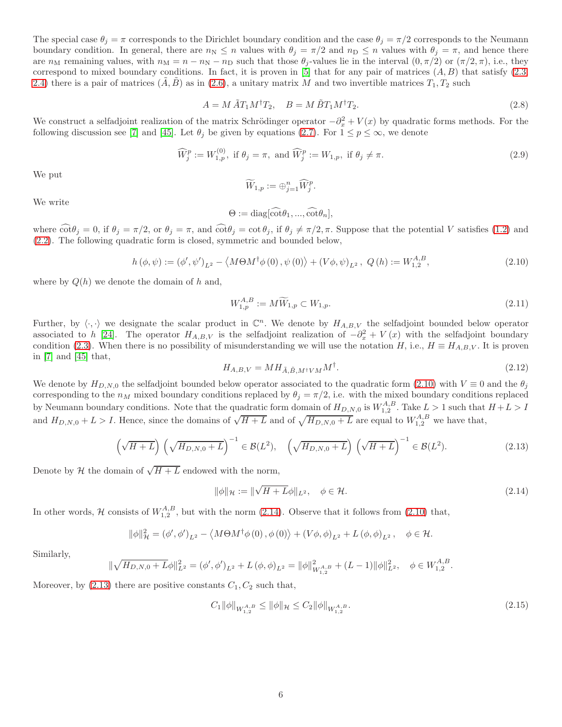The special case  $\theta_j = \pi$  corresponds to the Dirichlet boundary condition and the case  $\theta_j = \pi/2$  corresponds to the Neumann boundary condition. In general, there are  $n_N \leq n$  values with  $\theta_j = \pi/2$  and  $n_D \leq n$  values with  $\theta_j = \pi$ , and hence there are  $n_M$  remaining values, with  $n_M = n - n_N - n_D$  such that those  $\theta_j$ -values lie in the interval  $(0, \pi/2)$  or  $(\pi/2, \pi)$ , i.e., they correspond to mixed boundary conditions. In fact, it is proven in [5] that for any pair of matrices  $(A, B)$  that satisfy  $(2.3,$ [2.4\)](#page-4-6) there is a pair of matrices  $(\tilde{A}, \tilde{B})$  as in [\(2.6\)](#page-4-7), a unitary matrix M and two invertible matrices  $T_1, T_2$  such

<span id="page-5-5"></span>
$$
A = M \tilde{A} T_1 M^{\dagger} T_2, \quad B = M \tilde{B} T_1 M^{\dagger} T_2.
$$
\n
$$
(2.8)
$$

We construct a selfadjoint realization of the matrix Schrödinger operator  $-\partial_x^2 + V(x)$  by quadratic forms methods. For the following discussion see [\[7\]](#page-18-9) and [\[45\]](#page-19-4). Let  $\theta_j$  be given by equations [\(2.7\)](#page-4-1). For  $1 \leq p \leq \infty$ , we denote

<span id="page-5-0"></span>
$$
\widehat{W}_j^p := W_{1,p}^{(0)}, \text{ if } \theta_j = \pi, \text{ and } \widehat{W}_j^p := W_{1,p}, \text{ if } \theta_j \neq \pi. \tag{2.9}
$$

We put

$$
\widetilde{W}_{1,p} := \bigoplus_{j=1}^n \widehat{W}_j^p.
$$

We write

$$
\Theta := \mathrm{diag}[\widehat{\cot}\theta_1, ..., \widehat{\cot}\theta_n],
$$

where  $\cot\theta_j = 0$ , if  $\theta_j = \pi/2$ , or  $\theta_j = \pi$ , and  $\cot\theta_j = \cot\theta_j$ , if  $\theta_j \neq \pi/2, \pi$ . Suppose that the potential V satisfies [\(1.2\)](#page-0-1) and [\(2.2\)](#page-4-8). The following quadratic form is closed, symmetric and bounded below,

<span id="page-5-2"></span>
$$
h(\phi,\psi) := (\phi',\psi')_{L^2} - \langle M\Theta M^{\dagger}\phi(0),\psi(0)\rangle + (V\phi,\psi)_{L^2}, Q(h) := W_{1,2}^{A,B},
$$
\n(2.10)

where by  $Q(h)$  we denote the domain of h and,

<span id="page-5-1"></span>
$$
W_{1,p}^{A,B} := M\widetilde{W}_{1,p} \subset W_{1,p}.
$$
\n(2.11)

Further, by  $\langle \cdot, \cdot \rangle$  we designate the scalar product in  $\mathbb{C}^n$ . We denote by  $H_{A,B,V}$  the selfadjoint bounded below operator associated to h [\[24\]](#page-18-8). The operator  $H_{A,B,V}$  is the selfadjoint realization of  $-\partial_x^2 + V(x)$  with the selfadjoint boundary condition [\(2.3\)](#page-4-4). When there is no possibility of misunderstanding we will use the notation H, i.e.,  $H \equiv H_{A,B,V}$ . It is proven in [\[7\]](#page-18-9) and [\[45\]](#page-19-4) that,

$$
H_{A,B,V} = M H_{\tilde{A},\tilde{B},M^{\dagger}VM} M^{\dagger}.
$$
\n
$$
(2.12)
$$

We denote by  $H_{D,N,0}$  the selfadjoint bounded below operator associated to the quadratic form [\(2.10\)](#page-5-2) with  $V \equiv 0$  and the  $\theta_i$ corresponding to the  $n_M$  mixed boundary conditions replaced by  $\theta_j = \pi/2$ , i.e. with the mixed boundary conditions replaced by Neumann boundary conditions. Note that the quadratic form domain of  $H_{D,N,0}$  is  $W_{1,2}^{A,B}$ . Take  $L > 1$  such that  $H + L > I$ and  $H_{D,N,0} + L > I$ . Hence, since the domains of  $\sqrt{H+L}$  and of  $\sqrt{H_{D,N,0} + L}$  are equal to  $W_{1,2}^{A,B}$  we have that,

<span id="page-5-4"></span>
$$
\left(\sqrt{H+L}\right)\left(\sqrt{H_{D,N,0}+L}\right)^{-1} \in \mathcal{B}(L^2), \quad \left(\sqrt{H_{D,N,0}+L}\right)\left(\sqrt{H+L}\right)^{-1} \in \mathcal{B}(L^2). \tag{2.13}
$$

Denote by  $\mathcal H$  the domain of  $\sqrt{H+L}$  endowed with the norm,

<span id="page-5-3"></span>
$$
\|\phi\|_{\mathcal{H}} := \|\sqrt{H + L}\phi\|_{L^2}, \quad \phi \in \mathcal{H}.
$$
\n(2.14)

In other words, H consists of  $W_{1,2}^{A,B}$ , but with the norm [\(2.14\)](#page-5-3). Observe that it follows from [\(2.10\)](#page-5-2) that,

$$
\|\phi\|_{\mathcal{H}}^{2} = (\phi', \phi')_{L^{2}} - \langle M\Theta M^{\dagger} \phi(0), \phi(0) \rangle + (V\phi, \phi)_{L^{2}} + L(\phi, \phi)_{L^{2}}, \quad \phi \in \mathcal{H}.
$$

Similarly,

$$
\|\sqrt{H_{D,N,0}+L}\phi\|_{L^2}^2 = (\phi',\phi')_{L^2} + L(\phi,\phi)_{L^2} = \|\phi\|_{W_{1,2}^{A,B}}^2 + (L-1)\|\phi\|_{L^2}^2, \quad \phi \in W_{1,2}^{A,B}.
$$

Moreover, by  $(2.13)$  there are positive constants  $C_1, C_2$  such that,

<span id="page-5-6"></span>
$$
C_1 \|\phi\|_{W^{A,B}_{1,2}} \le \|\phi\|_{\mathcal{H}} \le C_2 \|\phi\|_{W^{A,B}_{1,2}}. \tag{2.15}
$$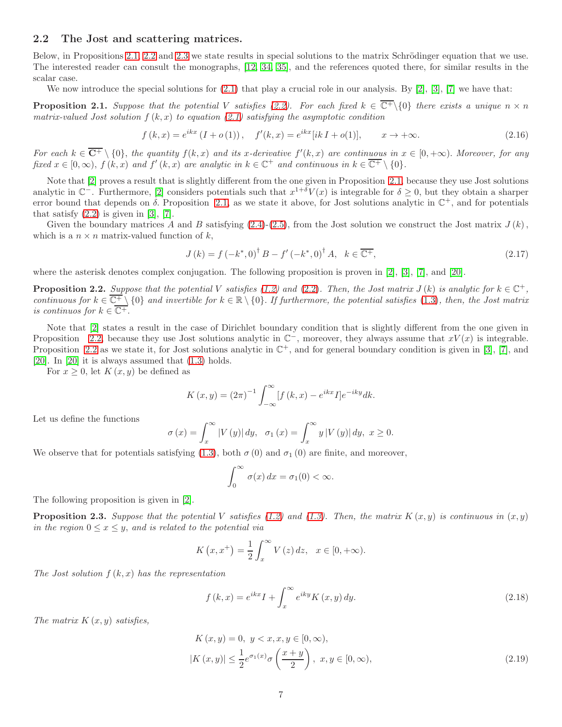### <span id="page-6-0"></span>2.2 The Jost and scattering matrices.

Below, in Propositions [2.1,](#page-6-1) [2.2](#page-6-2) and [2.3](#page-6-3) we state results in special solutions to the matrix Schrödinger equation that we use. The interested reader can consult the monographs, [12, 34, 35], and the references quoted there, for similar results in the scalar case.

We now introduce the special solutions for  $(2.1)$  that play a crucial role in our analysis. By  $[2]$ ,  $[3]$ ,  $[7]$  we have that:

<span id="page-6-1"></span>**Proposition 2.1.** Suppose that the potential V satisfies [\(2.2\)](#page-4-8). For each fixed  $k \in \overline{C^+}\setminus\{0\}$  there exists a unique  $n \times n$ matrix-valued Jost solution  $f(k, x)$  to equation [\(2.1\)](#page-4-9) satisfying the asymptotic condition

$$
f(k,x) = e^{ikx} (I + o(1)), \quad f'(k,x) = e^{ikx} [ik I + o(1)], \qquad x \to +\infty.
$$
 (2.16)

For each  $k \in \overline{C^+} \setminus \{0\}$ , the quantity  $f(k, x)$  and its x-derivative  $f'(k, x)$  are continuous in  $x \in [0, +\infty)$ . Moreover, for any fixed  $x \in [0, \infty)$ ,  $f (k, x)$  and  $f'(k, x)$  are analytic in  $k \in \mathbb{C}^+$  and continuous in  $k \in \overline{\mathbb{C}^+} \setminus \{0\}$ .

Note that [\[2\]](#page-17-1) proves a result that is slightly different from the one given in Proposition [2.1,](#page-6-1) because they use Jost solutions analytic in  $\mathbb{C}^-$ . Furthermore, [\[2\]](#page-17-1) considers potentials such that  $x^{1+\delta}V(x)$  is integrable for  $\delta \geq 0$ , but they obtain a sharper error bound that depends on  $\delta$ . Proposition [2.1,](#page-6-1) as we state it above, for Jost solutions analytic in  $\mathbb{C}^+$ , and for potentials that satisfy  $(2.2)$  is given in [3], [\[7\]](#page-18-9).

Given the boundary matrices A and B satisfying  $(2.4)-(2.5)$  $(2.4)-(2.5)$ , from the Jost solution we construct the Jost matrix  $J(k)$ , which is a  $n \times n$  matrix-valued function of k,

<span id="page-6-6"></span>
$$
J(k) = f(-k^*, 0)^{\dagger} B - f'(-k^*, 0)^{\dagger} A, \quad k \in \overline{\mathbb{C}^+},
$$
\n(2.17)

where the asterisk denotes complex conjugation. The following proposition is proven in [\[2\]](#page-17-1), [3], [\[7\]](#page-18-9), and [\[20\]](#page-18-1).

<span id="page-6-2"></span>**Proposition 2.2.** Suppose that the potential V satisfies [\(1.2\)](#page-0-1) and [\(2.2\)](#page-4-8). Then, the Jost matrix  $J(k)$  is analytic for  $k \in \mathbb{C}^+$ , continuous for  $k \in \overline{\mathbb{C}^+} \setminus \{0\}$  and invertible for  $k \in \mathbb{R} \setminus \{0\}$ . If furthermore, the potential satisfies [\(1.3\)](#page-0-2), then, the Jost matrix is continuos for  $k \in \overline{\mathbb{C}^+}$ .

Note that [\[2\]](#page-17-1) states a result in the case of Dirichlet boundary condition that is slightly different from the one given in Proposition [2.2,](#page-6-2) because they use Jost solutions analytic in  $\mathbb{C}^-$ , moreover, they always assume that  $xV(x)$  is integrable. Proposition [2.2](#page-6-2) as we state it, for Jost solutions analytic in  $\mathbb{C}^+$ , and for general boundary condition is given in [3], [\[7\]](#page-18-9), and [\[20\]](#page-18-1). In [\[20\]](#page-18-1) it is always assumed that [\(1.3\)](#page-0-2) holds.

For  $x \geq 0$ , let  $K(x, y)$  be defined as

$$
K(x, y) = (2\pi)^{-1} \int_{-\infty}^{\infty} [f(k, x) - e^{ikx} I] e^{-iky} dk.
$$

Let us define the functions

$$
\sigma(x) = \int_x^{\infty} |V(y)| dy, \quad \sigma_1(x) = \int_x^{\infty} y |V(y)| dy, \quad x \ge 0.
$$

We observe that for potentials satisfying [\(1.3\)](#page-0-2), both  $\sigma(0)$  and  $\sigma_1(0)$  are finite, and moreover,

$$
\int_0^\infty \sigma(x) \, dx = \sigma_1(0) < \infty.
$$

The following proposition is given in [\[2\]](#page-17-1).

<span id="page-6-3"></span>**Proposition 2.3.** Suppose that the potential V satisfies [\(1.2\)](#page-0-1) and [\(1.3\)](#page-0-2). Then, the matrix  $K(x, y)$  is continuous in  $(x, y)$ in the region  $0 \leq x \leq y$ , and is related to the potential via

$$
K(x, x^{+}) = \frac{1}{2} \int_{x}^{\infty} V(z) dz, \quad x \in [0, +\infty).
$$

The Jost solution  $f(k, x)$  has the representation

<span id="page-6-5"></span><span id="page-6-4"></span>
$$
f(k,x) = e^{ikx}I + \int_{x}^{\infty} e^{iky} K(x,y) dy.
$$
 (2.18)

The matrix  $K(x, y)$  satisfies,

$$
K(x, y) = 0, \ y < x, x, y \in [0, \infty),
$$
\n
$$
|K(x, y)| \le \frac{1}{2} e^{\sigma_1(x)} \sigma\left(\frac{x + y}{2}\right), \ x, y \in [0, \infty), \tag{2.19}
$$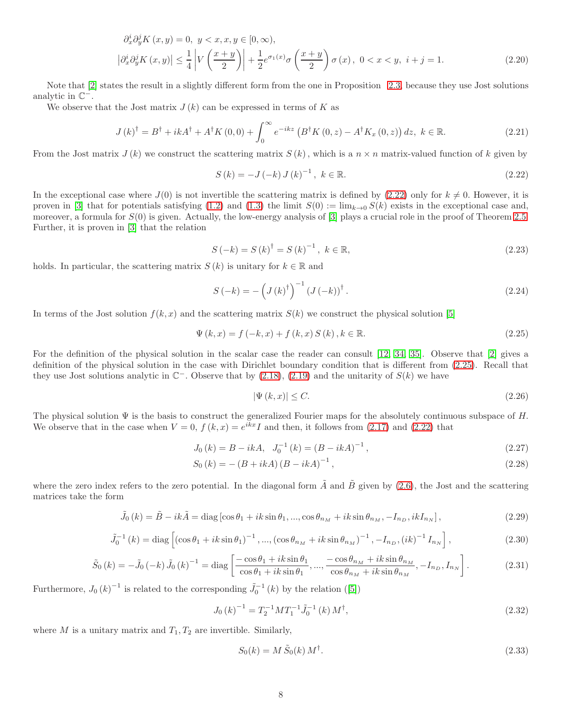$$
\partial_x^i \partial_y^j K(x, y) = 0, \ y < x, x, y \in [0, \infty),
$$
\n
$$
\left| \partial_x^i \partial_y^j K(x, y) \right| \le \frac{1}{4} \left| V\left(\frac{x + y}{2}\right) \right| + \frac{1}{2} e^{\sigma_1(x)} \sigma\left(\frac{x + y}{2}\right) \sigma(x), \ 0 < x < y, \ i + j = 1. \tag{2.20}
$$

Note that [\[2\]](#page-17-1) states the result in a slightly different form from the one in Proposition [2.3,](#page-6-3) because they use Jost solutions analytic in  $\mathbb{C}^-$ .

We observe that the Jost matrix  $J(k)$  can be expressed in terms of K as

<span id="page-7-4"></span>
$$
J(k)^{\dagger} = B^{\dagger} + ikA^{\dagger} + A^{\dagger}K(0,0) + \int_{0}^{\infty} e^{-ikz} (B^{\dagger}K(0,z) - A^{\dagger}K_{x}(0,z)) dz, \ k \in \mathbb{R}.
$$
 (2.21)

From the Jost matrix  $J(k)$  we construct the scattering matrix  $S(k)$ , which is a  $n \times n$  matrix-valued function of k given by

<span id="page-7-3"></span><span id="page-7-0"></span>
$$
S(k) = -J(-k) J(k)^{-1}, \ k \in \mathbb{R}.
$$
 (2.22)

In the exceptional case where  $J(0)$  is not invertible the scattering matrix is defined by [\(2.22\)](#page-7-0) only for  $k \neq 0$ . However, it is proven in [3] that for potentials satisfying [\(1.2\)](#page-0-1) and [\(1.3\)](#page-0-2) the limit  $S(0) := \lim_{k\to 0} S(k)$  exists in the exceptional case and, moreover, a formula for  $S(0)$  is given. Actually, the low-energy analysis of [3] plays a crucial role in the proof of Theorem [2.5.](#page-9-0) Further, it is proven in [3] that the relation

<span id="page-7-2"></span>
$$
S(-k) = S(k)^{\dagger} = S(k)^{-1}, \ k \in \mathbb{R}, \tag{2.23}
$$

holds. In particular, the scattering matrix  $S(k)$  is unitary for  $k \in \mathbb{R}$  and

<span id="page-7-5"></span>
$$
S(-k) = -\left(J(k)^{\dagger}\right)^{-1} \left(J(-k)\right)^{\dagger}.
$$
\n(2.24)

In terms of the Jost solution  $f(k, x)$  and the scattering matrix  $S(k)$  we construct the physical solution [5]

<span id="page-7-1"></span>
$$
\Psi(k, x) = f(-k, x) + f(k, x) S(k), k \in \mathbb{R}.
$$
\n(2.25)

For the definition of the physical solution in the scalar case the reader can consult [12, 34, 35]. Observe that [\[2\]](#page-17-1) gives a definition of the physical solution in the case with Dirichlet boundary condition that is different from [\(2.25\)](#page-7-1). Recall that they use Jost solutions analytic in  $\mathbb{C}^-$ . Observe that by [\(2.18\)](#page-6-4), [\(2.19\)](#page-6-5) and the unitarity of  $S(k)$  we have

<span id="page-7-8"></span>
$$
|\Psi(k,x)| \le C. \tag{2.26}
$$

The physical solution  $\Psi$  is the basis to construct the generalized Fourier maps for the absolutely continuous subspace of H. We observe that in the case when  $V = 0$ ,  $f (k, x) = e^{ikx} I$  and then, it follows from [\(2.17\)](#page-6-6) and [\(2.22\)](#page-7-0) that

$$
J_0(k) = B - ikA, \quad J_0^{-1}(k) = (B - ikA)^{-1}, \tag{2.27}
$$

$$
S_0(k) = -(B + ikA)(B - ikA)^{-1},
$$
\n(2.28)

where the zero index refers to the zero potential. In the diagonal form  $\tilde{A}$  and  $\tilde{B}$  given by [\(2.6\)](#page-4-7), the Jost and the scattering matrices take the form

$$
\tilde{J}_0(k) = \tilde{B} - ik\tilde{A} = \text{diag}\left[\cos\theta_1 + ik\sin\theta_1, \dots, \cos\theta_{n_M} + ik\sin\theta_{n_M}, -I_{n_D}, ikI_{n_N}\right],\tag{2.29}
$$

<span id="page-7-7"></span>
$$
\tilde{J}_0^{-1}(k) = \text{diag}\left[ (\cos \theta_1 + ik \sin \theta_1)^{-1}, \dots, (\cos \theta_{n_M} + ik \sin \theta_{n_M})^{-1}, -I_{n_D}, (ik)^{-1} I_{n_N} \right],\tag{2.30}
$$

<span id="page-7-9"></span>
$$
\tilde{S}_0(k) = -\tilde{J}_0(-k)\tilde{J}_0(k)^{-1} = \text{diag}\left[\frac{-\cos\theta_1 + ik\sin\theta_1}{\cos\theta_1 + ik\sin\theta_1}, \dots, \frac{-\cos\theta_{n_M} + ik\sin\theta_{n_M}}{\cos\theta_{n_M} + ik\sin\theta_{n_M}}, -I_{n_D}, I_{n_N}\right].
$$
\n(2.31)

Furthermore,  $J_0(k)^{-1}$  is related to the corresponding  $\tilde{J}_0^{-1}(k)$  by the relation ([5])

<span id="page-7-6"></span>
$$
J_0(k)^{-1} = T_2^{-1}MT_1^{-1}\tilde{J}_0^{-1}(k)M^{\dagger},\tag{2.32}
$$

where  $M$  is a unitary matrix and  $T_1, T_2$  are invertible. Similarly,

<span id="page-7-10"></span>
$$
S_0(k) = M \tilde{S}_0(k) M^{\dagger}.
$$
\n
$$
(2.33)
$$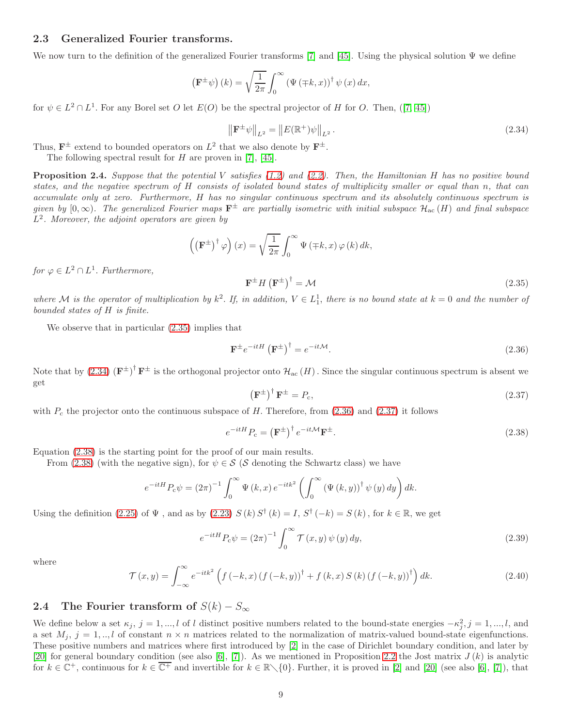### <span id="page-8-1"></span>2.3 Generalized Fourier transforms.

We now turn to the definition of the generalized Fourier transforms [\[7\]](#page-18-9) and [\[45\]](#page-19-4). Using the physical solution  $\Psi$  we define

$$
\left(\mathbf{F}^{\pm}\psi\right)(k) = \sqrt{\frac{1}{2\pi}} \int_0^{\infty} \left(\Psi\left(\mp k, x\right)\right)^{\dagger} \psi\left(x\right) dx,
$$

for  $\psi \in L^2 \cap L^1$ . For any Borel set O let  $E(O)$  be the spectral projector of H for O. Then, ([\[7,](#page-18-9) [45\]](#page-19-4))

<span id="page-8-4"></span>
$$
\|\mathbf{F}^{\pm}\psi\|_{L^{2}} = \|E(\mathbb{R}^{+})\psi\|_{L^{2}}.
$$
\n(2.34)

Thus,  $\mathbf{F}^{\pm}$  extend to bounded operators on  $L^2$  that we also denote by  $\mathbf{F}^{\pm}$ .

The following spectral result for  $H$  are proven in [\[7\]](#page-18-9), [\[45\]](#page-19-4).

**Proposition 2.4.** Suppose that the potential V satisfies  $(1.2)$  and  $(2.2)$ . Then, the Hamiltonian H has no positive bound states, and the negative spectrum of H consists of isolated bound states of multiplicity smaller or equal than n, that can accumulate only at zero. Furthermore, H has no singular continuous spectrum and its absolutely continuous spectrum is given by  $[0,\infty)$ . The generalized Fourier maps  $\mathbf{F}^{\pm}$  are partially isometric with initial subspace  $\mathcal{H}_{ac}(H)$  and final subspace  $L^2$ . Moreover, the adjoint operators are given by

$$
\left(\left(\mathbf{F}^{\pm}\right)^{\dagger}\varphi\right)(x) = \sqrt{\frac{1}{2\pi}} \int_0^{\infty} \Psi\left(\mp k, x\right) \varphi\left(k\right) dk,
$$

for  $\varphi \in L^2 \cap L^1$ . Furthermore,

<span id="page-8-3"></span>
$$
\mathbf{F}^{\pm}H\left(\mathbf{F}^{\pm}\right)^{\dagger}=\mathcal{M}\tag{2.35}
$$

where M is the operator of multiplication by  $k^2$ . If, in addition,  $V \in L_1^1$ , there is no bound state at  $k = 0$  and the number of bounded states of H is finite.

We observe that in particular [\(2.35\)](#page-8-3) implies that

<span id="page-8-5"></span>
$$
\mathbf{F}^{\pm}e^{-itH}\left(\mathbf{F}^{\pm}\right)^{\dagger}=e^{-it\mathcal{M}}.\tag{2.36}
$$

Note that by  $(2.34)$   $(\mathbf{F}^{\pm})^{\dagger} \mathbf{F}^{\pm}$  is the orthogonal projector onto  $\mathcal{H}_{ac}(H)$ . Since the singular continuous spectrum is absent we get

<span id="page-8-6"></span>
$$
\left(\mathbf{F}^{\pm}\right)^{\dagger}\mathbf{F}^{\pm} = P_{\rm c},\tag{2.37}
$$

with  $P_c$  the projector onto the continuous subspace of H. Therefore, from [\(2.36\)](#page-8-5) and [\(2.37\)](#page-8-6) it follows

<span id="page-8-7"></span>
$$
e^{-itH}P_c = \left(\mathbf{F}^{\pm}\right)^{\dagger}e^{-it\mathcal{M}}\mathbf{F}^{\pm}.
$$
\n(2.38)

Equation [\(2.38\)](#page-8-7) is the starting point for the proof of our main results.

From [\(2.38\)](#page-8-7) (with the negative sign), for  $\psi \in \mathcal{S}$  ( $\mathcal{S}$  denoting the Schwartz class) we have

$$
e^{-itH}P_c\psi = (2\pi)^{-1} \int_0^\infty \Psi(k,x) e^{-itk^2} \left( \int_0^\infty \left( \Psi(k,y) \right)^{\dagger} \psi(y) \, dy \right) dk.
$$

Using the definition [\(2.25\)](#page-7-1) of  $\Psi$ , and as by [\(2.23\)](#page-7-2)  $S(k) S^{\dagger}(k) = I$ ,  $S^{\dagger}(-k) = S(k)$ , for  $k \in \mathbb{R}$ , we get

<span id="page-8-0"></span>
$$
e^{-itH}P_c\psi = (2\pi)^{-1} \int_0^\infty \mathcal{T}(x,y)\,\psi(y)\,dy,\tag{2.39}
$$

where

<span id="page-8-8"></span>
$$
\mathcal{T}(x,y) = \int_{-\infty}^{\infty} e^{-itk^{2}} \left( f(-k,x) \left( f(-k,y) \right)^{\dagger} + f(k,x) S(k) \left( f(-k,y) \right)^{\dagger} \right) dk. \tag{2.40}
$$

### <span id="page-8-2"></span>2.4 The Fourier transform of  $S(k) - S_{\infty}$

We define below a set  $\kappa_j$ ,  $j = 1, ..., l$  of l distinct positive numbers related to the bound-state energies  $-\kappa_j^2$ ,  $j = 1, ..., l$ , and a set  $M_i$ ,  $j = 1, \ldots, l$  of constant  $n \times n$  matrices related to the normalization of matrix-valued bound-state eigenfunctions. These positive numbers and matrices where first introduced by [\[2\]](#page-17-1) in the case of Dirichlet boundary condition, and later by [\[20\]](#page-18-1) for general boundary condition (see also [\[6\]](#page-18-11), [\[7\]](#page-18-9)). As we mentioned in Proposition [2.2](#page-6-2) the Jost matrix  $J(k)$  is analytic for  $k \in \mathbb{C}^+$ , continuous for  $k \in \overline{\mathbb{C}^+}$  and invertible for  $k \in \mathbb{R} \setminus \{0\}$ . Further, it is proved in [\[2\]](#page-17-1) and [\[20\]](#page-18-1) (see also [\[6\]](#page-18-11), [\[7\]](#page-18-9)), that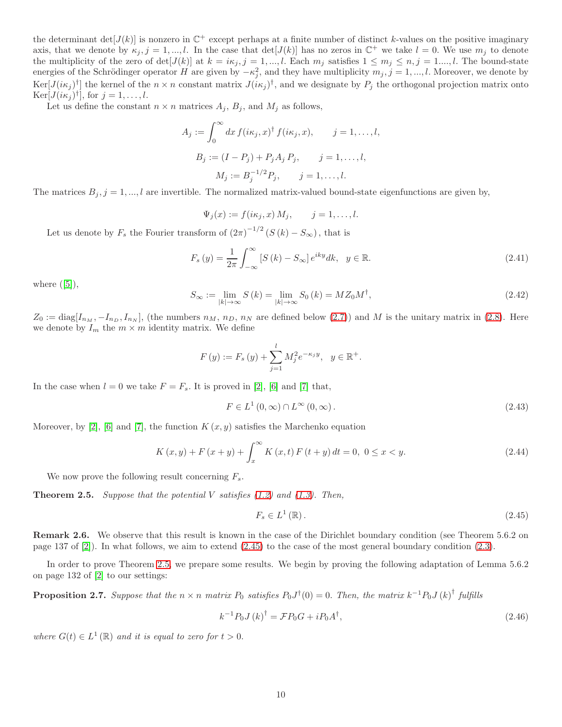the determinant  $\det[J(k)]$  is nonzero in  $\mathbb{C}^+$  except perhaps at a finite number of distinct k-values on the positive imaginary axis, that we denote by  $\kappa_j$ ,  $j = 1, ..., l$ . In the case that  $det[J(k)]$  has no zeros in  $\mathbb{C}^+$  we take  $l = 0$ . We use  $m_j$  to denote the multiplicity of the zero of det $[J(k)]$  at  $k = i\kappa_j$ ,  $j = 1,...,l$ . Each  $m_j$  satisfies  $1 \leq m_j \leq n, j = 1,...,l$ . The bound-state energies of the Schrödinger operator H are given by  $-\kappa_j^2$ , and they have multiplicity  $m_j$ ,  $j = 1, ..., l$ . Moreover, we denote by  $\text{Ker}[J(i\kappa_j)^{\dagger}]$  the kernel of the  $n \times n$  constant matrix  $J(i\kappa_j)^{\dagger}$ , and we designate by  $P_j$  the orthogonal projection matrix onto  $\text{Ker}[J(i\kappa_j)^{\dagger}], \text{ for } j = 1, \ldots, l.$ 

Let us define the constant  $n \times n$  matrices  $A_j$ ,  $B_j$ , and  $M_j$  as follows,

$$
A_j := \int_0^\infty dx \, f(i\kappa_j, x)^\dagger \, f(i\kappa_j, x), \qquad j = 1, \dots, l,
$$
  
\n
$$
B_j := (I - P_j) + P_j A_j \, P_j, \qquad j = 1, \dots, l,
$$
  
\n
$$
M_j := B_j^{-1/2} P_j, \qquad j = 1, \dots, l.
$$

The matrices  $B_j$ ,  $j = 1, ..., l$  are invertible. The normalized matrix-valued bound-state eigenfunctions are given by,

$$
\Psi_j(x) := f(i\kappa_j, x) M_j, \qquad j = 1, \dots, l.
$$

Let us denote by  $F_s$  the Fourier transform of  $(2\pi)^{-1/2}$   $(S(k) - S_{\infty})$ , that is

<span id="page-9-6"></span>
$$
F_s\left(y\right) = \frac{1}{2\pi} \int_{-\infty}^{\infty} \left[ S\left(k\right) - S_{\infty} \right] e^{iky} dk, \quad y \in \mathbb{R}.
$$
\n
$$
(2.41)
$$

where  $([5]),$ 

$$
S_{\infty} := \lim_{|k| \to \infty} S(k) = \lim_{|k| \to \infty} S_0(k) = M Z_0 M^{\dagger}, \qquad (2.42)
$$

 $Z_0 := \text{diag}[I_{n_M}, -I_{n_D}, I_{n_N}],$  (the numbers  $n_M$ ,  $n_D$ ,  $n_N$  are defined below [\(2.7\)](#page-4-1)) and M is the unitary matrix in [\(2.8\)](#page-5-5). Here we denote by  $I_m$  the  $m \times m$  identity matrix. We define

$$
F(y) := F_s(y) + \sum_{j=1}^{l} M_j^2 e^{-\kappa_j y}, \ \ y \in \mathbb{R}^+.
$$

In the case when  $l = 0$  we take  $F = F_s$ . It is proved in [\[2\]](#page-17-1), [\[6\]](#page-18-11) and [\[7\]](#page-18-9) that,

<span id="page-9-3"></span>
$$
F \in L^{1}(0,\infty) \cap L^{\infty}(0,\infty). \tag{2.43}
$$

Moreover, by [\[2\]](#page-17-1), [\[6\]](#page-18-11) and [\[7\]](#page-18-9), the function  $K(x, y)$  satisfies the Marchenko equation

<span id="page-9-2"></span>
$$
K(x, y) + F(x + y) + \int_{x}^{\infty} K(x, t) F(t + y) dt = 0, 0 \le x < y.
$$
\n(2.44)

We now prove the following result concerning  $F_s$ .

<span id="page-9-0"></span>**Theorem 2.5.** Suppose that the potential V satisfies  $(1.2)$  and  $(1.3)$ . Then,

<span id="page-9-1"></span>
$$
F_s \in L^1\left(\mathbb{R}\right). \tag{2.45}
$$

Remark 2.6. We observe that this result is known in the case of the Dirichlet boundary condition (see Theorem 5.6.2 on page 137 of [\[2\]](#page-17-1)). In what follows, we aim to extend [\(2.45\)](#page-9-1) to the case of the most general boundary condition [\(2.3\)](#page-4-4).

In order to prove Theorem [2.5,](#page-9-0) we prepare some results. We begin by proving the following adaptation of Lemma 5.6.2 on page 132 of [\[2\]](#page-17-1) to our settings:

<span id="page-9-5"></span>**Proposition 2.7.** Suppose that the  $n \times n$  matrix  $P_0$  satisfies  $P_0 J^{\dagger}(0) = 0$ . Then, the matrix  $k^{-1} P_0 J (k)^{\dagger}$  fulfills

<span id="page-9-4"></span>
$$
k^{-1}P_0 J (k)^{\dagger} = \mathcal{F}P_0 G + i P_0 A^{\dagger}, \qquad (2.46)
$$

where  $G(t) \in L^1(\mathbb{R})$  and it is equal to zero for  $t > 0$ .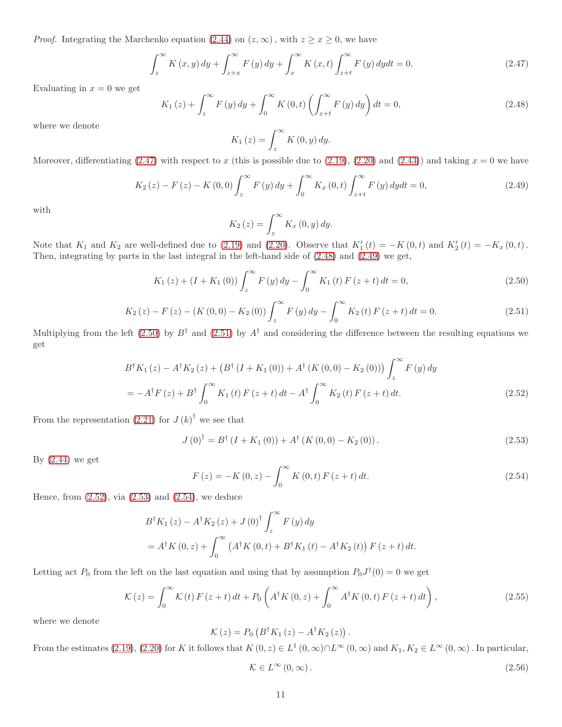*Proof.* Integrating the Marchenko equation [\(2.44\)](#page-9-2) on  $(z, \infty)$ , with  $z \geq x \geq 0$ , we have

<span id="page-10-0"></span>
$$
\int_{z}^{\infty} K(x, y) dy + \int_{z+x}^{\infty} F(y) dy + \int_{x}^{\infty} K(x, t) \int_{z+t}^{\infty} F(y) dy dt = 0.
$$
 (2.47)

Evaluating in  $x = 0$  we get

<span id="page-10-1"></span>
$$
K_{1}(z) + \int_{z}^{\infty} F(y) dy + \int_{0}^{\infty} K(0, t) \left( \int_{z+t}^{\infty} F(y) dy \right) dt = 0,
$$
\n(2.48)

where we denote

$$
K_1(z) = \int_z^{\infty} K(0, y) dy.
$$

Moreover, differentiating [\(2.47\)](#page-10-0) with respect to x (this is possible due to [\(2.19\)](#page-6-5), [\(2.20\)](#page-7-3) and [\(2.43\)](#page-9-3)) and taking  $x = 0$  we have

<span id="page-10-2"></span>
$$
K_{2}(z) - F(z) - K(0,0) \int_{z}^{\infty} F(y) dy + \int_{0}^{\infty} K_{x}(0,t) \int_{z+t}^{\infty} F(y) dy dt = 0,
$$
\n(2.49)

with

$$
K_2(z) = \int_z^{\infty} K_x(0, y) dy.
$$

Note that  $K_1$  and  $K_2$  are well-defined due to [\(2.19\)](#page-6-5) and [\(2.20\)](#page-7-3). Observe that  $K'_1(t) = -K(0, t)$  and  $K'_2(t) = -K_x(0, t)$ . Then, integrating by parts in the last integral in the left-hand side of [\(2.48\)](#page-10-1) and [\(2.49\)](#page-10-2) we get,

<span id="page-10-3"></span>
$$
K_{1}(z) + (I + K_{1}(0)) \int_{z}^{\infty} F(y) dy - \int_{0}^{\infty} K_{1}(t) F(z + t) dt = 0,
$$
\n(2.50)

<span id="page-10-4"></span>
$$
K_2(z) - F(z) - (K(0,0) - K_2(0)) \int_z^{\infty} F(y) dy - \int_0^{\infty} K_2(t) F(z+t) dt = 0.
$$
 (2.51)

Multiplying from the left [\(2.50\)](#page-10-3) by  $B^{\dagger}$  and [\(2.51\)](#page-10-4) by  $A^{\dagger}$  and considering the difference between the resulting equations we get

$$
B^{\dagger}K_{1}(z) - A^{\dagger}K_{2}(z) + (B^{\dagger}(I + K_{1}(0)) + A^{\dagger}(K(0,0) - K_{2}(0))) \int_{z}^{\infty} F(y) dy
$$
  
= 
$$
-A^{\dagger}F(z) + B^{\dagger} \int_{0}^{\infty} K_{1}(t) F(z+t) dt - A^{\dagger} \int_{0}^{\infty} K_{2}(t) F(z+t) dt.
$$
 (2.52)

From the representation [\(2.21\)](#page-7-4) for  $J(k)^{\dagger}$  we see that

<span id="page-10-6"></span>
$$
J(0)^{\dagger} = B^{\dagger} (I + K_1(0)) + A^{\dagger} (K(0,0) - K_2(0)).
$$
\n(2.53)

By  $(2.44)$  we get

<span id="page-10-7"></span><span id="page-10-5"></span>
$$
F(z) = -K(0, z) - \int_0^\infty K(0, t) F(z + t) dt.
$$
\n(2.54)

Hence, from  $(2.52)$ , via  $(2.53)$  and  $(2.54)$ , we deduce

$$
B^{\dagger} K_{1}(z) - A^{\dagger} K_{2}(z) + J(0)^{\dagger} \int_{z}^{\infty} F(y) dy
$$
  
=  $A^{\dagger} K(0, z) + \int_{0}^{\infty} (A^{\dagger} K(0, t) + B^{\dagger} K_{1}(t) - A^{\dagger} K_{2}(t)) F(z + t) dt.$ 

Letting act  $P_0$  from the left on the last equation and using that by assumption  $P_0J^{\dagger}(0) = 0$  we get

<span id="page-10-8"></span>
$$
\mathcal{K}(z) = \int_0^\infty \mathcal{K}(t) F(z+t) dt + P_0 \left( A^\dagger K(0, z) + \int_0^\infty A^\dagger K(0, t) F(z+t) dt \right), \tag{2.55}
$$

where we denote

$$
\mathcal{K}(z) = P_0 \left( B^{\dagger} K_1 \left( z \right) - A^{\dagger} K_2 \left( z \right) \right).
$$

From the estimates [\(2.19\)](#page-6-5), [\(2.20\)](#page-7-3) for K it follows that  $K(0, z) \in L^1(0, \infty) \cap L^{\infty}(0, \infty)$  and  $K_1, K_2 \in L^{\infty}(0, \infty)$ . In particular,

<span id="page-10-9"></span>
$$
\mathcal{K} \in L^{\infty}(0,\infty). \tag{2.56}
$$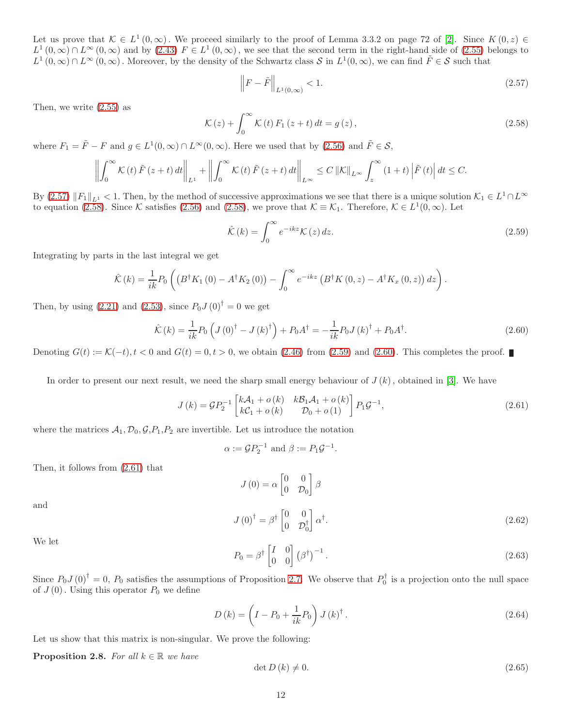Let us prove that  $\mathcal{K} \in L^1(0,\infty)$ . We proceed similarly to the proof of Lemma 3.3.2 on page 72 of [\[2\]](#page-17-1). Since  $K(0,z) \in$  $L^1(0,\infty) \cap L^{\infty}(0,\infty)$  and by  $(2.43)$   $F \in L^1(0,\infty)$ , we see that the second term in the right-hand side of  $(2.55)$  belongs to  $L^1(0,\infty) \cap L^\infty(0,\infty)$ . Moreover, by the density of the Schwartz class S in  $L^1(0,\infty)$ , we can find  $\tilde{F} \in S$  such that

<span id="page-11-0"></span>
$$
\left\| F - \tilde{F} \right\|_{L^{1}(0,\infty)} < 1. \tag{2.57}
$$

Then, we write [\(2.55\)](#page-10-8) as

<span id="page-11-1"></span>
$$
\mathcal{K}(z) + \int_0^\infty \mathcal{K}(t) F_1(z+t) dt = g(z), \qquad (2.58)
$$

where  $F_1 = \tilde{F} - F$  and  $g \in L^1(0, \infty) \cap L^{\infty}(0, \infty)$ . Here we used that by  $(2.56)$  and  $\tilde{F} \in \mathcal{S}$ ,

$$
\left\| \int_0^\infty \mathcal{K}(t) \tilde{F}(z+t) dt \right\|_{L^1} + \left\| \int_0^\infty \mathcal{K}(t) \tilde{F}(z+t) dt \right\|_{L^\infty} \leq C \left\| \mathcal{K} \right\|_{L^\infty} \int_z^\infty (1+t) \left| \tilde{F}(t) \right| dt \leq C.
$$

By [\(2.57\)](#page-11-0)  $||F_1||_{L^1} < 1$ . Then, by the method of successive approximations we see that there is a unique solution  $\mathcal{K}_1 \in L^1 \cap L^{\infty}$ to equation [\(2.58\)](#page-11-1). Since K satisfies [\(2.56\)](#page-10-9) and (2.58), we prove that  $\mathcal{K} \equiv \mathcal{K}_1$ . Therefore,  $\mathcal{K} \in L^1(0, \infty)$ . Let

<span id="page-11-2"></span>
$$
\hat{\mathcal{K}}(k) = \int_0^\infty e^{-ikz} \mathcal{K}(z) dz.
$$
\n(2.59)

Integrating by parts in the last integral we get

$$
\hat{K}(k) = \frac{1}{ik} P_0 \left( \left( B^{\dagger} K_1(0) - A^{\dagger} K_2(0) \right) - \int_0^{\infty} e^{-ikz} \left( B^{\dagger} K(0, z) - A^{\dagger} K_x(0, z) \right) dz \right).
$$

Then, by using [\(2.21\)](#page-7-4) and [\(2.53\)](#page-10-6), since  $P_0J(0)^{\dagger} = 0$  we get

<span id="page-11-3"></span>
$$
\hat{K}(k) = \frac{1}{ik} P_0 \left( J(0)^{\dagger} - J(k)^{\dagger} \right) + P_0 A^{\dagger} = -\frac{1}{ik} P_0 J(k)^{\dagger} + P_0 A^{\dagger}.
$$
\n(2.60)

Denoting  $G(t) := \mathcal{K}(-t), t < 0$  and  $G(t) = 0, t > 0$ , we obtain [\(2.46\)](#page-9-4) from [\(2.59\)](#page-11-2) and [\(2.60\)](#page-11-3). This completes the proof. ■

In order to present our next result, we need the sharp small energy behaviour of  $J(k)$ , obtained in [3]. We have

<span id="page-11-4"></span>
$$
J(k) = \mathcal{G}P_2^{-1} \begin{bmatrix} k\mathcal{A}_1 + o(k) & k\mathcal{B}_1\mathcal{A}_1 + o(k) \\ k\mathcal{C}_1 + o(k) & \mathcal{D}_0 + o(1) \end{bmatrix} P_1 \mathcal{G}^{-1},
$$
\n(2.61)

where the matrices  $A_1, D_0, G, P_1, P_2$  are invertible. Let us introduce the notation

$$
\alpha := \mathcal{G}P_2^{-1} \text{ and } \beta := P_1\mathcal{G}^{-1}.
$$

Then, it follows from [\(2.61\)](#page-11-4) that

$$
J(0) = \alpha \begin{bmatrix} 0 & 0 \\ 0 & \mathcal{D}_0 \end{bmatrix} \beta
$$

$$
J(0)^{\dagger} = \beta^{\dagger} \begin{bmatrix} 0 & 0 \\ 0 & \mathcal{D}_0^{\dagger} \end{bmatrix} \alpha^{\dagger}.
$$

and

We let

<span id="page-11-6"></span><span id="page-11-5"></span>
$$
P_0 = \beta^{\dagger} \begin{bmatrix} I & 0 \\ 0 & 0 \end{bmatrix} (\beta^{\dagger})^{-1}.
$$
 (2.63)

 $(2.62)$ 

Since  $P_0 J(0)^\dagger = 0$ ,  $P_0$  satisfies the assumptions of Proposition [2.7.](#page-9-5) We observe that  $P_0^\dagger$  is a projection onto the null space of  $J(0)$ . Using this operator  $P_0$  we define

<span id="page-11-8"></span>
$$
D(k) = \left(I - P_0 + \frac{1}{ik}P_0\right)J(k)^{\dagger}.
$$
\n(2.64)

Let us show that this matrix is non-singular. We prove the following:

**Proposition 2.8.** For all  $k \in \mathbb{R}$  we have

<span id="page-11-7"></span>
$$
\det D(k) \neq 0. \tag{2.65}
$$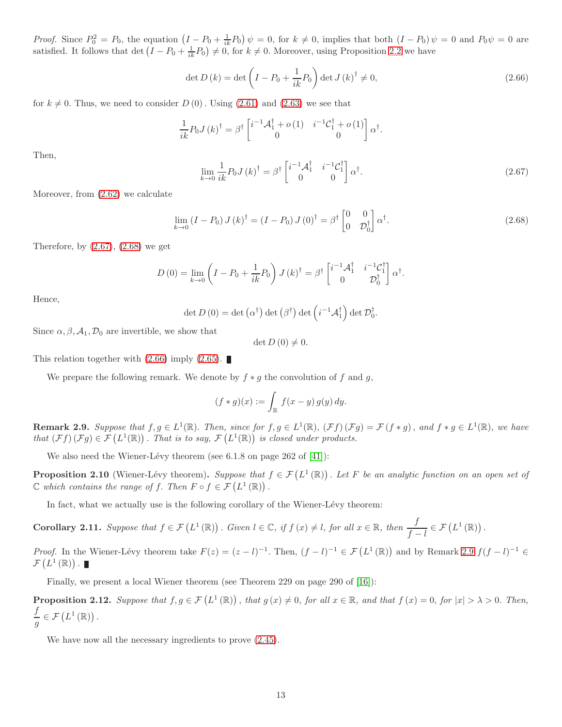*Proof.* Since  $P_0^2 = P_0$ , the equation  $(I - P_0 + \frac{1}{ik}P_0)\psi = 0$ , for  $k \neq 0$ , implies that both  $(I - P_0)\psi = 0$  and  $P_0\psi = 0$  are satisfied. It follows that det  $(I - P_0 + \frac{1}{ik}P_0) \neq 0$ , for  $k \neq 0$ . Moreover, using Proposition [2.2](#page-6-2) we have

<span id="page-12-2"></span>
$$
\det D(k) = \det \left( I - P_0 + \frac{1}{ik} P_0 \right) \det J(k)^\dagger \neq 0,
$$
\n(2.66)

for  $k \neq 0$ . Thus, we need to consider  $D(0)$ . Using [\(2.61\)](#page-11-4) and [\(2.63\)](#page-11-5) we see that

$$
\frac{1}{ik}P_0J(k)^{\dagger} = \beta^{\dagger} \begin{bmatrix} i^{-1}\mathcal{A}_1^{\dagger} + o(1) & i^{-1}\mathcal{C}_1^{\dagger} + o(1) \\ 0 & 0 \end{bmatrix} \alpha^{\dagger}.
$$

Then,

<span id="page-12-0"></span>
$$
\lim_{k \to 0} \frac{1}{ik} P_0 J\left(k\right)^\dagger = \beta^\dagger \begin{bmatrix} i^{-1} \mathcal{A}_1^\dagger & i^{-1} \mathcal{C}_1^\dagger \\ 0 & 0 \end{bmatrix} \alpha^\dagger. \tag{2.67}
$$

Moreover, from [\(2.62\)](#page-11-6) we calculate

<span id="page-12-1"></span>
$$
\lim_{k \to 0} \left( I - P_0 \right) J \left( k \right)^\dagger = \left( I - P_0 \right) J \left( 0 \right)^\dagger = \beta^\dagger \begin{bmatrix} 0 & 0 \\ 0 & \mathcal{D}_0^\dagger \end{bmatrix} \alpha^\dagger. \tag{2.68}
$$

Therefore, by  $(2.67)$ ,  $(2.68)$  we get

$$
D(0) = \lim_{k \to 0} \left( I - P_0 + \frac{1}{ik} P_0 \right) J(k)^\dagger = \beta^\dagger \begin{bmatrix} i^{-1} \mathcal{A}_1^\dagger & i^{-1} \mathcal{C}_1^\dagger \\ 0 & \mathcal{D}_0^\dagger \end{bmatrix} \alpha^\dagger.
$$

Hence,

$$
\det D(0) = \det (\alpha^{\dagger}) \det (\beta^{\dagger}) \det (i^{-1}A_1^{\dagger}) \det \mathcal{D}_0^{\dagger}.
$$

Since  $\alpha, \beta, \mathcal{A}_1, \mathcal{D}_0$  are invertible, we show that

 $\det D(0) \neq 0.$ 

This relation together with  $(2.66)$  imply  $(2.65)$ .

We prepare the following remark. We denote by  $f * g$  the convolution of f and g,

$$
(f * g)(x) := \int_{\mathbb{R}} f(x - y) g(y) dy.
$$

<span id="page-12-3"></span>**Remark 2.9.** Suppose that  $f, g \in L^1(\mathbb{R})$ . Then, since for  $f, g \in L^1(\mathbb{R})$ ,  $(\mathcal{F}f)(\mathcal{F}g) = \mathcal{F}(f * g)$ , and  $f * g \in L^1(\mathbb{R})$ , we have that  $(\mathcal{F}f)(\mathcal{F}g) \in \mathcal{F}(L^1(\mathbb{R}))$ . That is to say,  $\mathcal{F}(L^1(\mathbb{R}))$  is closed under products.

We also need the Wiener-Lévy theorem (see  $6.1.8$  on page  $262$  of  $[41]$ ):

**Proposition 2.10** (Wiener-Lévy theorem). Suppose that  $f \in \mathcal{F}(L^1(\mathbb{R}))$ . Let F be an analytic function on an open set of  $\mathbb C$  which contains the range of f. Then  $F \circ f \in \mathcal{F}(L^1(\mathbb R))$ .

In fact, what we actually use is the following corollary of the Wiener-Lévy theorem:

<span id="page-12-5"></span>**Corollary 2.11.** Suppose that  $f \in \mathcal{F}(L^1(\mathbb{R}))$ . Given  $l \in \mathbb{C}$ , if  $f(x) \neq l$ , for all  $x \in \mathbb{R}$ , then  $\frac{f}{f-l} \in \mathcal{F}(L^1(\mathbb{R}))$ .

*Proof.* In the Wiener-Lévy theorem take  $F(z) = (z - l)^{-1}$ . Then,  $(f - l)^{-1} \in \mathcal{F}(L^1(\mathbb{R}))$  and by Remark [2.9](#page-12-3)  $f(f - l)^{-1} \in$  $\mathcal{F}\left(L^{1}\left(\mathbb{R}\right)\right)$ .

Finally, we present a local Wiener theorem (see Theorem 229 on page 290 of [\[16\]](#page-18-19)):

<span id="page-12-4"></span>**Proposition 2.12.** Suppose that  $f, g \in \mathcal{F}(L^1(\mathbb{R}))$ , that  $g(x) \neq 0$ , for all  $x \in \mathbb{R}$ , and that  $f(x) = 0$ , for  $|x| > \lambda > 0$ . Then, f  $\frac{J}{g} \in \mathcal{F}\left(L^1(\mathbb{R})\right).$ 

We have now all the necessary ingredients to prove  $(2.45)$ .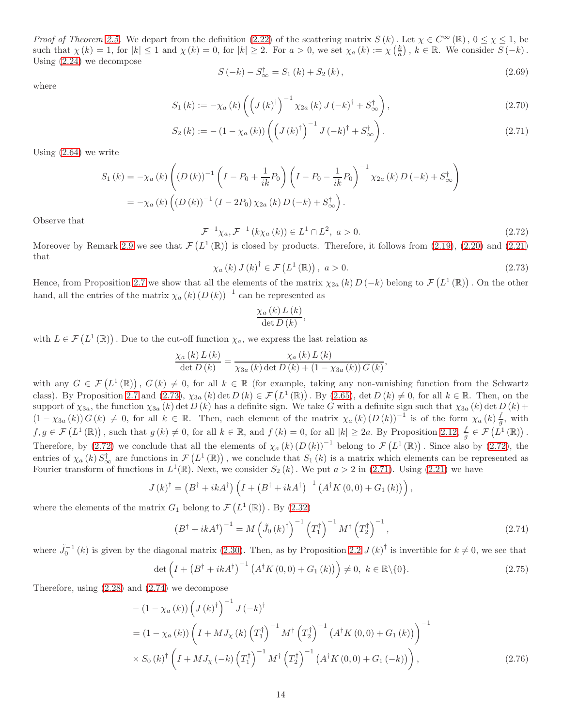*Proof of Theorem [2.5.](#page-9-0)* We depart from the definition [\(2.22\)](#page-7-0) of the scattering matrix  $S(k)$ . Let  $\chi \in C^{\infty}(\mathbb{R})$ ,  $0 \leq \chi \leq 1$ , be such that  $\chi(k) = 1$ , for  $|k| \leq 1$  and  $\chi(k) = 0$ , for  $|k| \geq 2$ . For  $a > 0$ , we set  $\chi_a(k) := \chi\left(\frac{k}{a}\right)$ ,  $k \in \mathbb{R}$ . We consider  $S(-k)$ . Using [\(2.24\)](#page-7-5) we decompose

<span id="page-13-5"></span><span id="page-13-2"></span>
$$
S(-k) - S_{\infty}^{\dagger} = S_1(k) + S_2(k), \qquad (2.69)
$$

where

$$
S_{1}(k) := -\chi_{a}(k) \left( \left( J(k)^{\dagger} \right)^{-1} \chi_{2a}(k) J(-k)^{\dagger} + S_{\infty}^{\dagger} \right), \tag{2.70}
$$

$$
S_2(k) := -\left(1 - \chi_a(k)\right) \left( \left(J(k)^\dagger\right)^{-1} J\left(-k\right)^\dagger + S_\infty^\dagger \right). \tag{2.71}
$$

Using [\(2.64\)](#page-11-8) we write

$$
S_{1}(k) = -\chi_{a}(k) \left( (D(k))^{-1} \left( I - P_{0} + \frac{1}{ik} P_{0} \right) \left( I - P_{0} - \frac{1}{ik} P_{0} \right)^{-1} \chi_{2a}(k) D(-k) + S_{\infty}^{\dagger} \right)
$$
  
=  $-\chi_{a}(k) \left( (D(k))^{-1} (I - 2P_{0}) \chi_{2a}(k) D(-k) + S_{\infty}^{\dagger} \right).$ 

Observe that

<span id="page-13-1"></span>
$$
\mathcal{F}^{-1}\chi_a, \mathcal{F}^{-1}\left(k\chi_a\left(k\right)\right) \in L^1 \cap L^2, \ a > 0. \tag{2.72}
$$

Moreover by Remark [2.9](#page-12-3) we see that  $\mathcal{F}(L^1(\mathbb{R}))$  is closed by products. Therefore, it follows from [\(2.19\)](#page-6-5), [\(2.20\)](#page-7-3) and [\(2.21\)](#page-7-4) that

<span id="page-13-0"></span>
$$
\chi_a(k) J(k)^\dagger \in \mathcal{F}\left(L^1(\mathbb{R})\right), \ a > 0. \tag{2.73}
$$

Hence, from Proposition [2.7](#page-9-5) we show that all the elements of the matrix  $\chi_{2a}(k) D(-k)$  belong to  $\mathcal{F}(L^1(\mathbb{R}))$ . On the other hand, all the entries of the matrix  $\chi_a(k) (D(k))^{-1}$  can be represented as

$$
\frac{\chi_{a}\left(k\right)L\left(k\right)}{\det D\left(k\right)},
$$

with  $L \in \mathcal{F}(L^1(\mathbb{R}))$ . Due to the cut-off function  $\chi_a$ , we express the last relation as

$$
\frac{\chi_{a}(k) L(k)}{\det D(k)} = \frac{\chi_{a}(k) L(k)}{\chi_{3a}(k) \det D(k) + (1 - \chi_{3a}(k)) G(k)},
$$

with any  $G \in \mathcal{F}(L^1(\mathbb{R}))$ ,  $G(k) \neq 0$ , for all  $k \in \mathbb{R}$  (for example, taking any non-vanishing function from the Schwartz class). By Proposition [2.7](#page-9-5) and  $(2.73)$ ,  $\chi_{3a}(k)$  det  $D(k) \in \mathcal{F}(L^1(\mathbb{R}))$ . By  $(2.65)$ , det  $D(k) \neq 0$ , for all  $k \in \mathbb{R}$ . Then, on the support of  $\chi_{3a}$ , the function  $\chi_{3a} (k)$  det  $D(k)$  has a definite sign. We take G with a definite sign such that  $\chi_{3a} (k)$  det  $D(k)$  +  $(1 - \chi_{3a}(k)) G(k) \neq 0$ , for all  $k \in \mathbb{R}$ . Then, each element of the matrix  $\chi_a(k) (D(k))^{-1}$  is of the form  $\chi_a(k) \frac{f}{g}$ , with  $f, g \in \mathcal{F}\left(L^1(\mathbb{R})\right)$ , such that  $g(k) \neq 0$ , for all  $k \in \mathbb{R}$ , and  $f(k) = 0$ , for all  $|k| \geq 2a$ . By Proposition [2.12,](#page-12-4)  $\frac{f}{g} \in \mathcal{F}\left(L^1(\mathbb{R})\right)$ . Therefore, by [\(2.72\)](#page-13-1) we conclude that all the elements of  $\chi_a(k) (D(k))^{-1}$  belong to  $\mathcal{F}(L^1(\mathbb{R}))$ . Since also by (2.72), the entries of  $\chi_a(k) S^{\dagger}_{\infty}$  are functions in  $\mathcal{F}(L^1(\mathbb{R}))$ , we conclude that  $S_1(k)$  is a matrix which elements can be represented as Fourier transform of functions in  $L^1(\mathbb{R})$ . Next, we consider  $S_2(k)$ . We put  $a > 2$  in [\(2.71\)](#page-13-2). Using [\(2.21\)](#page-7-4) we have

$$
J(k)^{\dagger} = (B^{\dagger} + ikA^{\dagger}) \left( I + (B^{\dagger} + ikA^{\dagger})^{-1} \left( A^{\dagger} K(0,0) + G_1(k) \right) \right),
$$

where the elements of the matrix  $G_1$  belong to  $\mathcal{F}\left(L^1(\mathbb{R})\right)$ . By  $(2.32)$ 

<span id="page-13-4"></span><span id="page-13-3"></span>
$$
\left(B^{\dagger} + ikA^{\dagger}\right)^{-1} = M\left(\tilde{J}_0\left(k\right)^{\dagger}\right)^{-1}\left(T_1^{\dagger}\right)^{-1}M^{\dagger}\left(T_2^{\dagger}\right)^{-1},\tag{2.74}
$$

where  $\tilde{J}_0^{-1}(k)$  is given by the diagonal matrix [\(2.30\)](#page-7-7). Then, as by Proposition [2.2](#page-6-2)  $J(k)^\dagger$  is invertible for  $k \neq 0$ , we see that

$$
\det\left(I + \left(B^{\dagger} + ikA^{\dagger}\right)^{-1}\left(A^{\dagger}K\left(0,0\right) + G_1\left(k\right)\right)\right) \neq 0, \ k \in \mathbb{R}\backslash\{0\}.\tag{2.75}
$$

Therefore, using [\(2.28\)](#page-7-8) and [\(2.74\)](#page-13-3) we decompose

$$
-(1 - \chi_a(k)) \left(J(k)^{\dagger}\right)^{-1} J(-k)^{\dagger} = (1 - \chi_a(k)) \left(I + MJ_{\chi}(k) \left(T_1^{\dagger}\right)^{-1} M^{\dagger} \left(T_2^{\dagger}\right)^{-1} \left(A^{\dagger} K(0,0) + G_1(k)\right)\right)^{-1} \times S_0(k)^{\dagger} \left(I + MJ_{\chi}(-k) \left(T_1^{\dagger}\right)^{-1} M^{\dagger} \left(T_2^{\dagger}\right)^{-1} \left(A^{\dagger} K(0,0) + G_1(-k)\right)\right),
$$
(2.76)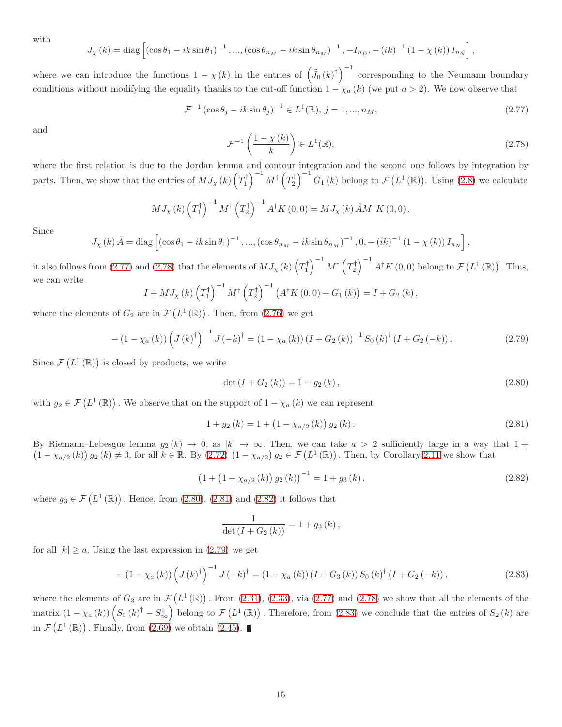with

$$
J_{\chi}(k) = \text{diag}\left[\left(\cos\theta_{1} - ik\sin\theta_{1}\right)^{-1}, \dots, \left(\cos\theta_{n_{M}} - ik\sin\theta_{n_{M}}\right)^{-1}, -I_{n_{D}}, -\left(ik\right)^{-1}\left(1 - \chi(k)\right)I_{n_{N}}\right],
$$

where we can introduce the functions  $1 - \chi(k)$  in the entries of  $(\tilde{J}_0(k)^{\dagger})^{-1}$  corresponding to the Neumann boundary conditions without modifying the equality thanks to the cut-off function  $1 - \chi_a(k)$  (we put  $a > 2$ ). We now observe that

<span id="page-14-0"></span>
$$
\mathcal{F}^{-1}\left(\cos\theta_j - ik\sin\theta_j\right)^{-1} \in L^1(\mathbb{R}), \ j = 1, ..., n_M,
$$
\n(2.77)

and

<span id="page-14-1"></span>
$$
\mathcal{F}^{-1}\left(\frac{1-\chi(k)}{k}\right) \in L^1(\mathbb{R}),\tag{2.78}
$$

where the first relation is due to the Jordan lemma and contour integration and the second one follows by integration by parts. Then, we show that the entries of  $MJ_{\chi}(k)\left(T_1^{\dagger}\right)^{-1}M^{\dagger}\left(T_2^{\dagger}\right)^{-1}G_1(k)$  belong to  $\mathcal{F}(L^1(\mathbb{R}))$ . Using [\(2.8\)](#page-5-5) we calculate

$$
MJ_{\chi}(k)\left(T_1^{\dagger}\right)^{-1}M^{\dagger}\left(T_2^{\dagger}\right)^{-1}A^{\dagger}K(0,0)=MJ_{\chi}(k)\tilde{A}M^{\dagger}K(0,0).
$$

Since

$$
J_{\chi}(k) \tilde{A} = \text{diag}\left[ (\cos \theta_1 - ik \sin \theta_1)^{-1}, ..., (\cos \theta_{n_M} - ik \sin \theta_{n_M})^{-1}, 0, - (ik)^{-1} (1 - \chi(k)) I_{n_N} \right],
$$

it also follows from [\(2.77\)](#page-14-0) and [\(2.78\)](#page-14-1) that the elements of  $MJ_\chi\left(k\right)\left(T^\dagger_1\right)^{-1}M^\dagger\left(T^\dagger_2\right)^{-1}A^\dagger K\left(0,0\right)$  belong to  $\mathcal{F}\left(L^1\left(\mathbb{R}\right)\right)$  . Thus, we can write

$$
I + MJ_{\chi}(k)\left(T_1^{\dagger}\right)^{-1}M^{\dagger}\left(T_2^{\dagger}\right)^{-1}\left(A^{\dagger}K(0,0) + G_1(k)\right) = I + G_2(k),
$$

where the elements of  $G_2$  are in  $\mathcal{F}\left(L^1(\mathbb{R})\right)$ . Then, from [\(2.76\)](#page-13-4) we get

<span id="page-14-5"></span>
$$
- (1 - \chi_a(k)) \left( J(k)^\dagger \right)^{-1} J(-k)^\dagger = (1 - \chi_a(k)) (I + G_2(k))^{-1} S_0(k)^\dagger (I + G_2(-k)). \tag{2.79}
$$

Since  $\mathcal{F}\left(L^1(\mathbb{R})\right)$  is closed by products, we write

<span id="page-14-2"></span>
$$
\det (I + G_2(k)) = 1 + g_2(k), \qquad (2.80)
$$

with  $g_2 \in \mathcal{F}(L^1(\mathbb{R}))$ . We observe that on the support of  $1 - \chi_a(k)$  we can represent

<span id="page-14-3"></span>
$$
1 + g_2(k) = 1 + (1 - \chi_{a/2}(k)) g_2(k).
$$
 (2.81)

By Riemann–Lebesgue lemma  $g_2(k) \to 0$ , as  $|k| \to \infty$ . Then, we can take  $a > 2$  sufficiently large in a way that  $1 +$  $(1 - \chi_{a/2}(k)) g_2(k) \neq 0$ , for all  $k \in \mathbb{R}$ . By  $(2.72) (1 - \chi_{a/2}) g_2 \in \mathcal{F}(L^1(\mathbb{R}))$ . Then, by Corollary [2.11](#page-12-5) we show that

<span id="page-14-4"></span>
$$
(1 + (1 - \chi_{a/2}(k)) g_2(k))^{-1} = 1 + g_3(k), \qquad (2.82)
$$

where  $g_3 \in \mathcal{F}\left(L^1(\mathbb{R})\right)$ . Hence, from  $(2.80)$ ,  $(2.81)$  and  $(2.82)$  it follows that

$$
\frac{1}{\det (I + G_2 (k))} = 1 + g_3 (k),
$$

for all  $|k| \ge a$ . Using the last expression in [\(2.79\)](#page-14-5) we get

<span id="page-14-6"></span>
$$
- (1 - \chi_a(k)) \left( J(k)^\dagger \right)^{-1} J(-k)^\dagger = (1 - \chi_a(k)) (I + G_3(k)) S_0(k)^\dagger (I + G_2(-k)), \tag{2.83}
$$

where the elements of  $G_3$  are in  $\mathcal{F}(L^1(\mathbb{R}))$ . From [\(2.31\)](#page-7-9), [\(2.33\)](#page-7-10), via [\(2.77\)](#page-14-0) and [\(2.78\)](#page-14-1) we show that all the elements of the matrix  $(1 - \chi_a(k)) \left( S_0(k)^{\dagger} - S_{\infty}^{\dagger} \right)$  belong to  $\mathcal{F}(L^1(\mathbb{R}))$ . Therefore, from [\(2.83\)](#page-14-6) we conclude that the entries of  $S_2(k)$  are in  $\mathcal{F}(L^1(\mathbb{R}))$ . Finally, from  $(2.69)$  we obtain  $(2.45)$ .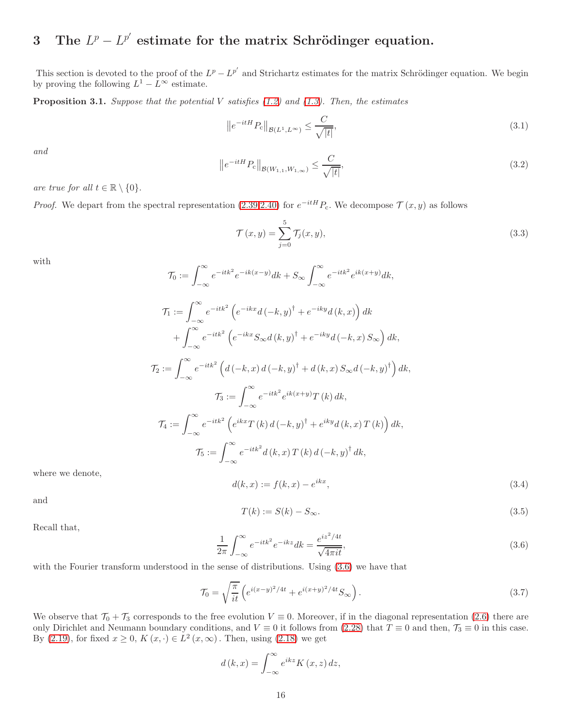## <span id="page-15-0"></span>3 The  $L^p - L^{p'}$  estimate for the matrix Schrödinger equation.

This section is devoted to the proof of the  $L^p - L^{p'}$  and Strichartz estimates for the matrix Schrödinger equation. We begin by proving the following  $L^1 - L^{\infty}$  estimate.

**Proposition 3.1.** Suppose that the potential V satisfies  $(1.2)$  and  $(1.3)$ . Then, the estimates

<span id="page-15-4"></span>
$$
\left\|e^{-itH}P_c\right\|_{\mathcal{B}(L^1, L^\infty)} \le \frac{C}{\sqrt{|t|}},\tag{3.1}
$$

and

<span id="page-15-5"></span>
$$
\left\|e^{-itH}P_c\right\|_{\mathcal{B}(W_{1,1}, W_{1,\infty})} \le \frac{C}{\sqrt{|t|}},\tag{3.2}
$$

are true for all  $t \in \mathbb{R} \setminus \{0\}.$ 

*Proof.* We depart from the spectral representation [\(2.39,](#page-8-0)[2.40\)](#page-8-8) for  $e^{-itH}P_c$ . We decompose  $\mathcal{T}(x, y)$  as follows

<span id="page-15-3"></span>
$$
\mathcal{T}(x, y) = \sum_{j=0}^{5} \mathcal{T}_j(x, y),
$$
\n(3.3)

with

$$
\mathcal{T}_0 := \int_{-\infty}^{\infty} e^{-itk^2} e^{-ik(x-y)} dk + S_{\infty} \int_{-\infty}^{\infty} e^{-itk^2} e^{ik(x+y)} dk,
$$
  

$$
\mathcal{T}_1 := \int_{-\infty}^{\infty} e^{-itk^2} \left( e^{-ikx} d\left(-k, y\right)^{\dagger} + e^{-iky} d\left(k, x\right) \right) dk
$$

$$
+ \int_{-\infty}^{\infty} e^{-itk^2} \left( e^{-ikx} S_{\infty} d\left(k, y\right)^{\dagger} + e^{-iky} d\left(-k, x\right) S_{\infty} \right) dk,
$$
  

$$
\mathcal{T}_2 := \int_{-\infty}^{\infty} e^{-itk^2} \left( d\left(-k, x\right) d\left(-k, y\right)^{\dagger} + d\left(k, x\right) S_{\infty} d\left(-k, y\right)^{\dagger} \right) dk,
$$
  

$$
\mathcal{T}_3 := \int_{-\infty}^{\infty} e^{-itk^2} e^{ik(x+y)} T\left(k\right) dk,
$$
  

$$
\mathcal{T}_4 := \int_{-\infty}^{\infty} e^{-itk^2} \left( e^{ikx} T\left(k\right) d\left(-k, y\right)^{\dagger} + e^{iky} d\left(k, x\right) T\left(k\right) \right) dk,
$$
  

$$
\mathcal{T}_5 := \int_{-\infty}^{\infty} e^{-itk^2} d\left(k, x\right) T\left(k\right) d\left(-k, y\right)^{\dagger} dk,
$$

where we denote,

$$
d(k, x) := f(k, x) - e^{ikx}, \tag{3.4}
$$

and

$$
T(k) := S(k) - S_{\infty}.
$$
\n
$$
(3.5)
$$

Recall that,

<span id="page-15-1"></span>
$$
\frac{1}{2\pi} \int_{-\infty}^{\infty} e^{-itk^2} e^{-ikz} dk = \frac{e^{iz^2/4t}}{\sqrt{4\pi it}},
$$
\n(3.6)

with the Fourier transform understood in the sense of distributions. Using  $(3.6)$  we have that

<span id="page-15-2"></span>
$$
\mathcal{T}_0 = \sqrt{\frac{\pi}{it}} \left( e^{i(x-y)^2/4t} + e^{i(x+y)^2/4t} S_\infty \right).
$$
\n(3.7)

We observe that  $\mathcal{T}_0 + \mathcal{T}_3$  corresponds to the free evolution  $V \equiv 0$ . Moreover, if in the diagonal representation [\(2.6\)](#page-4-7) there are only Dirichlet and Neumann boundary conditions, and  $V \equiv 0$  it follows from [\(2.28\)](#page-7-8) that  $T \equiv 0$  and then,  $\mathcal{T}_3 \equiv 0$  in this case. By  $(2.19)$ , for fixed  $x \ge 0$ ,  $K(x, \cdot) \in L^2(x, \infty)$ . Then, using  $(2.18)$  we get

$$
d(k,x) = \int_{-\infty}^{\infty} e^{ikz} K(x,z) dz,
$$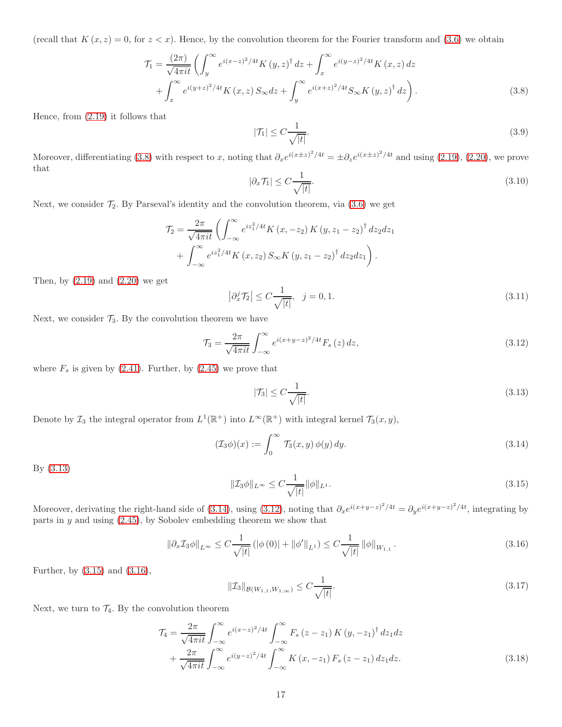(recall that  $K(x, z) = 0$ , for  $z < x$ ). Hence, by the convolution theorem for the Fourier transform and [\(3.6\)](#page-15-1) we obtain

$$
\mathcal{T}_{1} = \frac{(2\pi)}{\sqrt{4\pi it}} \left( \int_{y}^{\infty} e^{i(x-z)^{2}/4t} K(y,z)^{\dagger} dz + \int_{x}^{\infty} e^{i(y-z)^{2}/4t} K(x,z) dz + \int_{x}^{\infty} e^{i(y+z)^{2}/4t} K(x,z) S_{\infty} dz + \int_{y}^{\infty} e^{i(x+z)^{2}/4t} S_{\infty} K(y,z)^{\dagger} dz \right).
$$
\n(3.8)

Hence, from [\(2.19\)](#page-6-5) it follows that

<span id="page-16-7"></span><span id="page-16-0"></span>
$$
|\mathcal{T}_1| \le C \frac{1}{\sqrt{|t|}}.\tag{3.9}
$$

Moreover, differentiating [\(3.8\)](#page-16-0) with respect to x, noting that  $\partial_x e^{i(x \pm z)^2/4t} = \pm \partial_z e^{i(x \pm z)^2/4t}$  and using [\(2.19\)](#page-6-5), [\(2.20\)](#page-7-3), we prove that

<span id="page-16-8"></span>
$$
|\partial_x \mathcal{T}_1| \le C \frac{1}{\sqrt{|t|}}.\tag{3.10}
$$

Next, we consider  $\mathcal{T}_2$ . By Parseval's identity and the convolution theorem, via  $(3.6)$  we get

$$
\mathcal{T}_2 = \frac{2\pi}{\sqrt{4\pi i t}} \left( \int_{-\infty}^{\infty} e^{iz_1^2/4t} K(x, -z_2) K(y, z_1 - z_2)^{\dagger} dz_2 dz_1 + \int_{-\infty}^{\infty} e^{iz_1^2/4t} K(x, z_2) S_{\infty} K(y, z_1 - z_2)^{\dagger} dz_2 dz_1 \right).
$$

Then, by  $(2.19)$  and  $(2.20)$  we get

<span id="page-16-9"></span>
$$
\left|\partial_x^j \mathcal{T}_2\right| \le C \frac{1}{\sqrt{|t|}}, \quad j = 0, 1. \tag{3.11}
$$

Next, we consider  $\mathcal{T}_3$ . By the convolution theorem we have

<span id="page-16-3"></span>
$$
\mathcal{T}_3 = \frac{2\pi}{\sqrt{4\pi i t}} \int_{-\infty}^{\infty} e^{i(x+y-z)^2/4t} F_s(z) dz,
$$
\n(3.12)

where  $F_s$  is given by [\(2.41\)](#page-9-6). Further, by [\(2.45\)](#page-9-1) we prove that

<span id="page-16-1"></span>
$$
|\mathcal{T}_3| \le C \frac{1}{\sqrt{|t|}}.\tag{3.13}
$$

Denote by  $\mathcal{I}_3$  the integral operator from  $L^1(\mathbb{R}^+)$  into  $L^\infty(\mathbb{R}^+)$  with integral kernel  $\mathcal{T}_3(x, y)$ ,

<span id="page-16-2"></span>
$$
(\mathcal{I}_3 \phi)(x) := \int_0^\infty \mathcal{T}_3(x, y) \phi(y) dy.
$$
 (3.14)

By [\(3.13\)](#page-16-1)

<span id="page-16-4"></span>
$$
\| \mathcal{I}_3 \phi \|_{L^\infty} \le C \frac{1}{\sqrt{|t|}} \| \phi \|_{L^1}.
$$
\n(3.15)

Moreover, derivating the right-hand side of [\(3.14\)](#page-16-2), using [\(3.12\)](#page-16-3), noting that  $\partial_x e^{i(x+y-z)^2/4t} = \partial_y e^{i(x+y-z)^2/4t}$ , integrating by parts in  $y$  and using  $(2.45)$ , by Sobolev embedding theorem we show that

<span id="page-16-5"></span>
$$
\|\partial_x \mathcal{I}_3 \phi\|_{L^\infty} \le C \frac{1}{\sqrt{|t|}} \left( |\phi(0)| + ||\phi'||_{L^1} \right) \le C \frac{1}{\sqrt{|t|}} \|\phi\|_{W_{1,1}}.
$$
\n(3.16)

Further, by [\(3.15\)](#page-16-4) and [\(3.16\)](#page-16-5),

<span id="page-16-10"></span><span id="page-16-6"></span>
$$
\|\mathcal{I}_3\|_{\mathcal{B}(W_{1,1}, W_{1,\infty})} \le C \frac{1}{\sqrt{|t|}}.
$$
\n(3.17)

Next, we turn to  $\mathcal{T}_4$ . By the convolution theorem

$$
\mathcal{T}_{4} = \frac{2\pi}{\sqrt{4\pi i t}} \int_{-\infty}^{\infty} e^{i(x-z)^{2}/4t} \int_{-\infty}^{\infty} F_{s}(z-z_{1}) K(y, -z_{1})^{\dagger} dz_{1} dz \n+ \frac{2\pi}{\sqrt{4\pi i t}} \int_{-\infty}^{\infty} e^{i(y-z)^{2}/4t} \int_{-\infty}^{\infty} K(x, -z_{1}) F_{s}(z-z_{1}) dz_{1} dz.
$$
\n(3.18)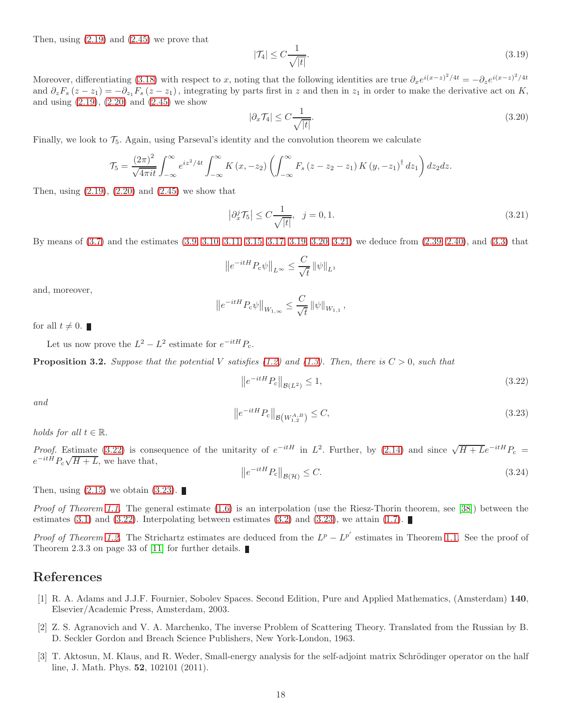Then, using  $(2.19)$  and  $(2.45)$  we prove that

<span id="page-17-2"></span>
$$
|\mathcal{T}_4| \le C \frac{1}{\sqrt{|t|}}.\tag{3.19}
$$

Moreover, differentiating [\(3.18\)](#page-16-6) with respect to x, noting that the following identities are true  $\partial_x e^{i(x-z)^2/4t} = -\partial_z e^{i(x-z)^2/4t}$ and  $\partial_z F_s(z-z_1) = -\partial_{z_1} F_s(z-z_1)$ , integrating by parts first in z and then in  $z_1$  in order to make the derivative act on K, and using  $(2.19)$ ,  $(2.20)$  and  $(2.45)$  we show

<span id="page-17-3"></span>
$$
|\partial_x \mathcal{T}_4| \le C \frac{1}{\sqrt{|t|}}.\tag{3.20}
$$

Finally, we look to  $\mathcal{T}_5$ . Again, using Parseval's identity and the convolution theorem we calculate

$$
\mathcal{T}_5 = \frac{\left(2\pi\right)^2}{\sqrt{4\pi i t}} \int_{-\infty}^{\infty} e^{iz^2/4t} \int_{-\infty}^{\infty} K\left(x, -z_2\right) \left(\int_{-\infty}^{\infty} F_s\left(z - z_2 - z_1\right) K\left(y, -z_1\right)^{\dagger} dz_1\right) dz_2 dz.
$$

Then, using  $(2.19)$ ,  $(2.20)$  and  $(2.45)$  we show that

<span id="page-17-4"></span>
$$
\left|\partial_x^j \mathcal{T}_5\right| \le C \frac{1}{\sqrt{|t|}}, \quad j = 0, 1. \tag{3.21}
$$

By means of [\(3.7\)](#page-15-2) and the estimates [\(3.9,](#page-16-7) [3.10,](#page-16-8) [3.11,](#page-16-9) [3.15,](#page-16-4) [3.17,](#page-16-10) [3.19,](#page-17-2) [3.20,](#page-17-3) [3.21\)](#page-17-4) we deduce from [\(2.39,](#page-8-0) [2.40\)](#page-8-8), and [\(3.3\)](#page-15-3) that

$$
\left\|e^{-itH}P_{\rm c}\psi\right\|_{L^\infty}\leq \frac{C}{\sqrt{t}}\left\|\psi\right\|_{L^1}
$$

and, moreover,

$$
\left\|e^{-itH}P_{c}\psi\right\|_{W_{1,\infty}} \leq \frac{C}{\sqrt{t}}\left\|\psi\right\|_{W_{1,1}},
$$

for all  $t \neq 0$ .

Let us now prove the  $L^2 - L^2$  estimate for  $e^{-itH}P_c$ .

**Proposition 3.2.** Suppose that the potential V satisfies [\(1.2\)](#page-0-1) and [\(1.3\)](#page-0-2). Then, there is  $C > 0$ , such that

<span id="page-17-5"></span>
$$
\left\|e^{-itH}P_c\right\|_{\mathcal{B}(L^2)} \le 1,\tag{3.22}
$$

and

<span id="page-17-6"></span>
$$
\left\|e^{-itH}P_c\right\|_{\mathcal{B}\left(W^{A,B}_{1,2}\right)} \leq C,\tag{3.23}
$$

holds for all  $t \in \mathbb{R}$ .

*Proof.* Estimate [\(3.22\)](#page-17-5) is consequence of the unitarity of  $e^{-itH}$  in  $L^2$ . Further, by [\(2.14\)](#page-5-3) and since  $\sqrt{H+L}e^{-itH}P_c$  $e^{-itH}P_c\sqrt{H+L}$ , we have that,

$$
\left\|e^{-itH}P_c\right\|_{\mathcal{B}(\mathcal{H})} \le C. \tag{3.24}
$$

Then, using  $(2.15)$  we obtain  $(3.23)$ .

*Proof of Theorem [1.1.](#page-2-1)* The general estimate  $(1.6)$  is an interpolation (use the Riesz-Thorin theorem, see [\[38\]](#page-19-10)) between the estimates [\(3.1\)](#page-15-4) and [\(3.22\)](#page-17-5). Interpolating between estimates [\(3.2\)](#page-15-5) and [\(3.23\)](#page-17-6), we attain [\(1.7\)](#page-2-3).

*Proof of Theorem [1.2.](#page-2-0)* The Strichartz estimates are deduced from the  $L^p - L^{p'}$  estimates in Theorem [1.1.](#page-2-1) See the proof of Theorem 2.3.3 on page 33 of [\[11\]](#page-18-20) for further details.

### <span id="page-17-0"></span>References

- [1] R. A. Adams and J.J.F. Fournier, Sobolev Spaces. Second Edition, Pure and Applied Mathematics, (Amsterdam) 140, Elsevier/Academic Press, Amsterdam, 2003.
- <span id="page-17-1"></span>[2] Z. S. Agranovich and V. A. Marchenko, The inverse Problem of Scattering Theory. Translated from the Russian by B. D. Seckler Gordon and Breach Science Publishers, New York-London, 1963.
- [3] T. Aktosun, M. Klaus, and R. Weder, Small-energy analysis for the self-adjoint matrix Schrödinger operator on the half line, J. Math. Phys. 52, 102101 (2011).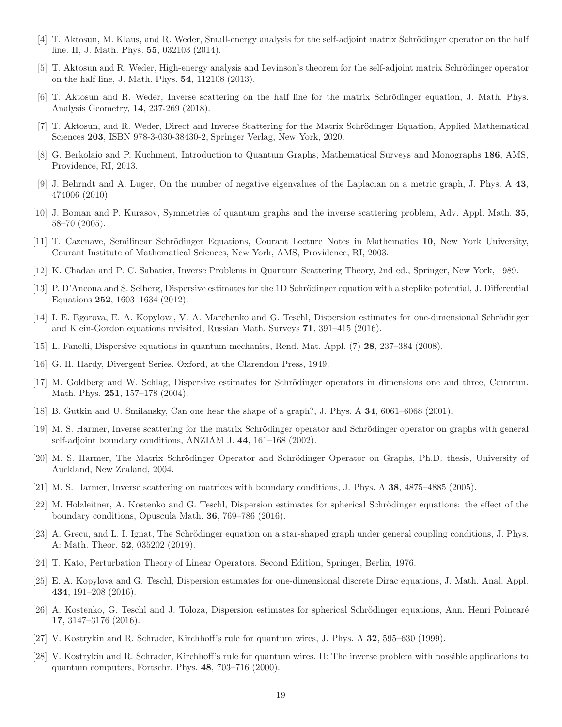- [4] T. Aktosun, M. Klaus, and R. Weder, Small-energy analysis for the self-adjoint matrix Schrödinger operator on the half line. II, J. Math. Phys. 55, 032103 (2014).
- <span id="page-18-11"></span>[5] T. Aktosun and R. Weder, High-energy analysis and Levinson's theorem for the self-adjoint matrix Schrödinger operator on the half line, J. Math. Phys. 54, 112108 (2013).
- <span id="page-18-9"></span>[6] T. Aktosun and R. Weder, Inverse scattering on the half line for the matrix Schrödinger equation, J. Math. Phys. Analysis Geometry, 14, 237-269 (2018).
- <span id="page-18-5"></span>[7] T. Aktosun, and R. Weder, Direct and Inverse Scattering for the Matrix Schrödinger Equation, Applied Mathematical Sciences 203, ISBN 978-3-030-38430-2, Springer Verlag, New York, 2020.
- [8] G. Berkolaio and P. Kuchment, Introduction to Quantum Graphs, Mathematical Surveys and Monographs 186, AMS, Providence, RI, 2013.
- <span id="page-18-6"></span>[9] J. Behrndt and A. Luger, On the number of negative eigenvalues of the Laplacian on a metric graph, J. Phys. A 43, 474006 (2010).
- <span id="page-18-20"></span>[10] J. Boman and P. Kurasov, Symmetries of quantum graphs and the inverse scattering problem, Adv. Appl. Math. 35, 58–70 (2005).
- [11] T. Cazenave, Semilinear Schrödinger Equations, Courant Lecture Notes in Mathematics 10, New York University, Courant Institute of Mathematical Sciences, New York, AMS, Providence, RI, 2003.
- <span id="page-18-15"></span>[12] K. Chadan and P. C. Sabatier, Inverse Problems in Quantum Scattering Theory, 2nd ed., Springer, New York, 1989.
- [13] P. D'Ancona and S. Selberg, Dispersive estimates for the 1D Schrödinger equation with a steplike potential, J. Differential Equations 252, 1603–1634 (2012).
- <span id="page-18-14"></span>[14] I. E. Egorova, E. A. Kopylova, V. A. Marchenko and G. Teschl, Dispersion estimates for one-dimensional Schrödinger and Klein-Gordon equations revisited, Russian Math. Surveys 71, 391–415 (2016).
- <span id="page-18-19"></span><span id="page-18-12"></span>[15] L. Fanelli, Dispersive equations in quantum mechanics, Rend. Mat. Appl. (7) 28, 237–384 (2008).
- <span id="page-18-13"></span>[16] G. H. Hardy, Divergent Series. Oxford, at the Clarendon Press, 1949.
- [17] M. Goldberg and W. Schlag, Dispersive estimates for Schrödinger operators in dimensions one and three, Commun. Math. Phys. 251, 157–178 (2004).
- <span id="page-18-7"></span><span id="page-18-0"></span>[18] B. Gutkin and U. Smilansky, Can one hear the shape of a graph?, J. Phys. A 34, 6061–6068 (2001).
- [19] M. S. Harmer, Inverse scattering for the matrix Schrödinger operator and Schrödinger operator on graphs with general self-adjoint boundary conditions, ANZIAM J. 44, 161–168 (2002).
- <span id="page-18-1"></span>[20] M. S. Harmer, The Matrix Schrödinger Operator and Schrödinger Operator on Graphs, Ph.D. thesis, University of Auckland, New Zealand, 2004.
- <span id="page-18-16"></span><span id="page-18-2"></span>[21] M. S. Harmer, Inverse scattering on matrices with boundary conditions, J. Phys. A 38, 4875–4885 (2005).
- [22] M. Holzleitner, A. Kostenko and G. Teschl, Dispersion estimates for spherical Schrödinger equations: the effect of the boundary conditions, Opuscula Math. 36, 769–786 (2016).
- <span id="page-18-10"></span>[23] A. Grecu, and L. I. Ignat, The Schrödinger equation on a star-shaped graph under general coupling conditions, J. Phys. A: Math. Theor. 52, 035202 (2019).
- <span id="page-18-18"></span><span id="page-18-8"></span>[24] T. Kato, Perturbation Theory of Linear Operators. Second Edition, Springer, Berlin, 1976.
- [25] E. A. Kopylova and G. Teschl, Dispersion estimates for one-dimensional discrete Dirac equations, J. Math. Anal. Appl. 434, 191–208 (2016).
- <span id="page-18-17"></span>[26] A. Kostenko, G. Teschl and J. Toloza, Dispersion estimates for spherical Schrödinger equations, Ann. Henri Poincaré 17, 3147–3176 (2016).
- <span id="page-18-4"></span><span id="page-18-3"></span>[27] V. Kostrykin and R. Schrader, Kirchhoff's rule for quantum wires, J. Phys. A 32, 595–630 (1999).
- [28] V. Kostrykin and R. Schrader, Kirchhoff's rule for quantum wires. II: The inverse problem with possible applications to quantum computers, Fortschr. Phys. 48, 703–716 (2000).